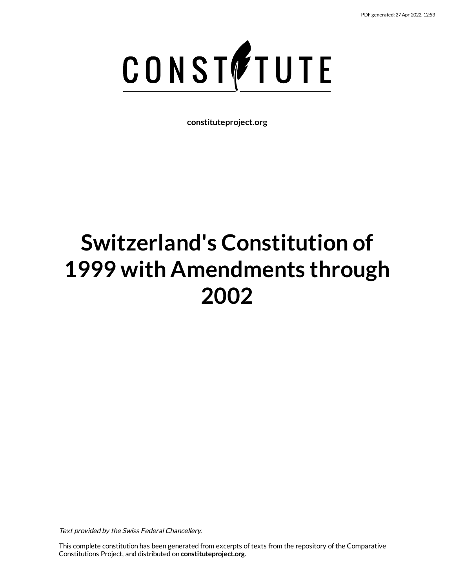

**constituteproject.org**

# **Switzerland's Constitution of 1999 with Amendments through 2002**

Text provided by the Swiss Federal Chancellery.

This complete constitution has been generated from excerpts of texts from the repository of the Comparative Constitutions Project, and distributed on **constituteproject.org**.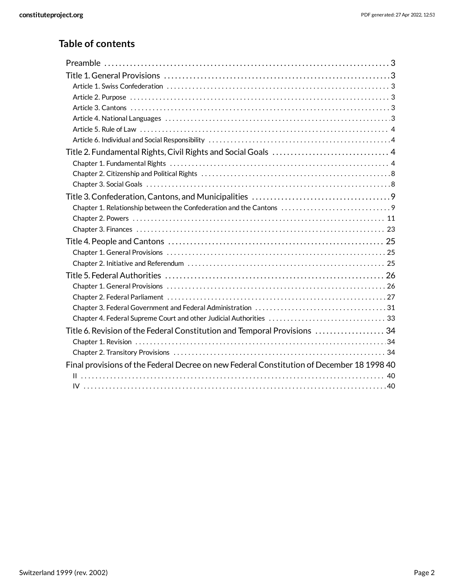## **Table of contents**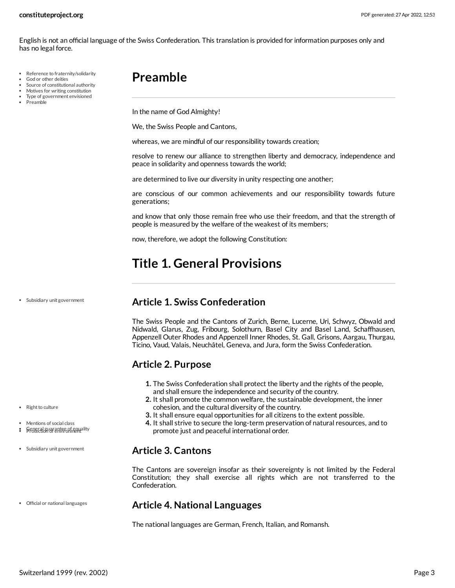English is not an official language of the Swiss Confederation. This translation is provided for information purposes only and has no legal force.

- Reference to fraternity/solidarity
- God or other deities
- Source of constitutional authority Motives for writing constitution
- Type of government envisioned
- Preamble

## <span id="page-2-0"></span>**Preamble**

In the name of God Almighty!

We, the Swiss People and Cantons,

whereas, we are mindful of our responsibility towards creation;

resolve to renew our alliance to strengthen liberty and democracy, independence and peace in solidarity and openness towards the world;

are determined to live our diversity in unity respecting one another;

are conscious of our common achievements and our responsibility towards future generations;

and know that only those remain free who use their freedom, and that the strength of people is measured by the welfare of the weakest of its members;

now, therefore, we adopt the following Constitution:

## <span id="page-2-1"></span>**Title 1. General Provisions**

Subsidiary unit government

## <span id="page-2-2"></span>**Article 1. Swiss Confederation**

The Swiss People and the Cantons of Zurich, Berne, Lucerne, Uri, Schwyz, Obwald and Nidwald, Glarus, Zug, Fribourg, Solothurn, Basel City and Basel Land, Schaffhausen, Appenzell Outer Rhodes and Appenzell Inner Rhodes, St. Gall, Grisons, Aargau, Thurgau, Ticino, Vaud, Valais, Neuchâtel, Geneva, and Jura, form the Swiss Confederation.

## <span id="page-2-3"></span>**Article 2. Purpose**

- **1.** The Swiss Confederation shall protect the liberty and the rights of the people, and shall ensure the independence and security of the country.
- **2.** It shall promote the common welfare, the sustainable development, the inner cohesion, and the cultural diversity of the country.
- **3.** It shall ensure equal opportunities for all citizens to the extent possible.
- **4.** It shall strive to secure the long-term preservation of natural resources, and to promote just and peaceful international order.

## <span id="page-2-4"></span>**Article 3. Cantons**

The Cantons are sovereign insofar as their sovereignty is not limited by the Federal Constitution; they shall exercise all rights which are not transferred to the Confederation.

## <span id="page-2-5"></span>**Article 4. National Languages**

<span id="page-2-6"></span>The national languages are German, French, Italian, and Romansh.

• Right to culture

Mentions of social class

- : **Protection of environmentality**
- Subsidiary unit government

Official or national languages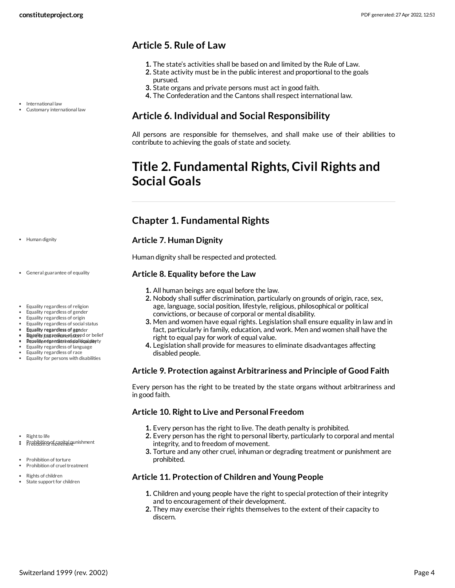## <span id="page-3-0"></span>**Article 5. Rule of Law**

- **1.** The state's activities shall be based on and limited by the Rule of Law.
- **2.** State activity must be in the public interest and proportional to the goals pursued.
- **3.** State organs and private persons must act in good faith.
- **4.** The Confederation and the Cantons shall respect international law.

## <span id="page-3-1"></span>**Article 6. Individual and Social Responsibility**

All persons are responsible for themselves, and shall make use of their abilities to contribute to achieving the goals of state and society.

## <span id="page-3-2"></span>**Title 2. Fundamental Rights, Civil Rights and Social Goals**

## <span id="page-3-3"></span>**Chapter 1. Fundamental Rights**

#### <span id="page-3-6"></span>**Article 7. Human Dignity**

Human dignity shall be respected and protected.

#### <span id="page-3-4"></span>**Article 8. Equality before the Law**

- **1.** All human beings are equal before the law.
- **2.** Nobody shall suffer discrimination, particularly on grounds of origin, race, sex, age, language, social position, lifestyle, religious, philosophical or political convictions, or because of corporal or mental disability.
- **3.** Men and women have equal rights. Legislation shall ensure equality in law and in fact, particularly in family, education, and work. Men and women shall have the right to equal pay for work of equal value.
- **4.** Legislation shall provide for measures to eliminate disadvantages affecting disabled people.

#### **Article 9. Protection against Arbitrariness and Principle of Good Faith**

Every person has the right to be treated by the state organs without arbitrariness and in good faith.

## <span id="page-3-5"></span>**Article 10. Right to Live and Personal Freedom**

- **1.** Every person has the right to live. The death penalty is prohibited.
- **2.** Every person has the right to personal liberty, particularly to corporal and mental integrity, and to freedom of movement.
- **3.** Torture and any other cruel, inhuman or degrading treatment or punishment are prohibited.

#### <span id="page-3-7"></span>**Article 11. Protection of Children and Young People**

- **1.** Children and young people have the right to special protection of their integrity and to encouragement of their development.
- **2.** They may exercise their rights themselves to the extent of their capacity to discern.

• Human dignity

• International law

Customary international law

General guarantee of equality

- Equality regardless of religion
- Equality regardless of gender
- Equality regardless of origin
- Equality regardless of social status Equality regardless of age Equality regardless of gender
- Rightlity just a rediesse of closed or belief
- Provision for relation of political provision
- Equality regardless of language
- Equality regardless of race
- Equality for persons with disabilities

• Right to life

- : Probibition of capital punishment
- Prohibition of torture Prohibition of cruel treatment

• Rights of children State support for children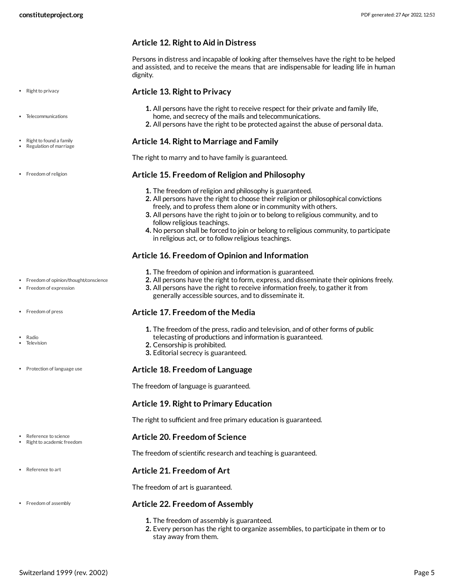#### **Article 12. Right to Aid in Distress**

Persons in distress and incapable of looking after themselves have the right to be helped and assisted, and to receive the means that are indispensable for leading life in human dignity.

#### <span id="page-4-8"></span>**Article 13. Right to Privacy**

- **1.** All persons have the right to receive respect for their private and family life, home, and secrecy of the mails and telecommunications.
- **2.** All persons have the right to be protected against the abuse of personal data.

#### <span id="page-4-7"></span>**Article 14. Right to Marriage and Family**

The right to marry and to have family is guaranteed.

#### <span id="page-4-3"></span>**Article 15. Freedom of Religion and Philosophy**

- **1.** The freedom of religion and philosophy is guaranteed.
- **2.** All persons have the right to choose their religion or philosophical convictions freely, and to profess them alone or in community with others.
- **3.** All persons have the right to join or to belong to religious community, and to follow religious teachings.
- **4.** No person shall be forced to join or belong to religious community, to participate in religious act, or to follow religious teachings.

#### <span id="page-4-1"></span>**Article 16. Freedom of Opinion and Information**

- **1.** The freedom of opinion and information is guaranteed.
- **2.** All persons have the right to form, express, and disseminate their opinions freely.
- **3.** All persons have the right to receive information freely, to gather it from generally accessible sources, and to disseminate it.

#### <span id="page-4-2"></span>**Article 17. Freedom of the Media**

- **1.** The freedom of the press, radio and television, and of other forms of public
- telecasting of productions and information is guaranteed. **2.** Censorship is prohibited.
- **3.** Editorial secrecy is guaranteed.

#### <span id="page-4-4"></span>**Article 18. Freedom of Language**

The freedom of language is guaranteed.

#### **Article 19. Right to Primary Education**

The right to sufficient and free primary education is guaranteed.

#### <span id="page-4-6"></span>**Article 20. Freedom of Science**

The freedom of scientific research and teaching is guaranteed.

#### <span id="page-4-5"></span>**Article 21. Freedom of Art**

The freedom of art is guaranteed.

#### <span id="page-4-0"></span>**Article 22. Freedom of Assembly**

- **1.** The freedom of assembly is guaranteed.
- **2.** Every person has the right to organize assemblies, to participate in them or to stay away from them.
- Right to privacy
- Telecommunications
- Right to found a family Regulation of marriage
- Freedom of religion

- Freedom of opinion/thought/conscience
- Freedom of expression
- Freedom of press
- Radio Television
- Protection of language use

- Reference to science Right to academic freedom
- Reference to art
- Freedom of assembly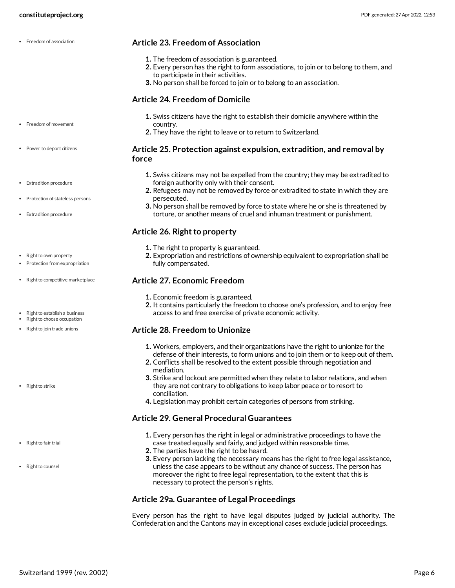#### <span id="page-5-1"></span>**Article 23. Freedom of Association**

- **1.** The freedom of association is guaranteed.
- **2.** Every person has the right to form associations, to join or to belong to them, and to participate in their activities.
- **3.** No person shall be forced to join or to belong to an association.

#### <span id="page-5-2"></span>**Article 24. Freedom of Domicile**

- **1.** Swiss citizens have the right to establish their domicile anywhere within the country.
- **2.** They have the right to leave or to return to Switzerland.

#### <span id="page-5-0"></span>**Article 25. Protection against expulsion, extradition, and removal by force**

- **1.** Swiss citizens may not be expelled from the country; they may be extradited to foreign authority only with their consent.
- **2.** Refugees may not be removed by force or extradited to state in which they are persecuted.
- **3.** No person shall be removed by force to state where he or she is threatened by torture, or another means of cruel and inhuman treatment or punishment.

#### <span id="page-5-4"></span>**Article 26. Right to property**

- **1.** The right to property is guaranteed.
- **2.** Expropriation and restrictions of ownership equivalent to expropriation shall be fully compensated.

#### <span id="page-5-5"></span>**Article 27. Economic Freedom**

- **1.** Economic freedom is guaranteed.
- **2.** It contains particularly the freedom to choose one's profession, and to enjoy free access to and free exercise of private economic activity.

#### <span id="page-5-7"></span>**Article 28. Freedom to Unionize**

- **1.** Workers, employers, and their organizations have the right to unionize for the defense of their interests, to form unions and to join them or to keep out of them.
- **2.** Conflicts shall be resolved to the extent possible through negotiation and mediation.
- **3.** Strike and lockout are permitted when they relate to labor relations, and when they are not contrary to obligations to keep labor peace or to resort to conciliation.
- **4.** Legislation may prohibit certain categories of persons from striking.

#### <span id="page-5-6"></span>**Article 29. General Procedural Guarantees**

- **1.** Every person has the right in legal or administrative proceedings to have the case treated equally and fairly, and judged within reasonable time.
- **2.** The parties have the right to be heard.
- **3.** Every person lacking the necessary means has the right to free legal assistance, unless the case appears to be without any chance of success. The person has moreover the right to free legal representation, to the extent that this is necessary to protect the person's rights.

#### **Article 29a. Guarantee of Legal Proceedings**

<span id="page-5-3"></span>Every person has the right to have legal disputes judged by judicial authority. The Confederation and the Cantons may in exceptional cases exclude judicial proceedings.

- Freedom of movement
- Power to deport citizens
- Extradition procedure
- Protection of stateless persons
- Extradition procedure
- Right to own property
- Protection from expropriation
- Right to competitive marketplace
- Right to establish a business • Right to choose occupation
- Right to join trade unions
- Right to strike

• Right to fair trial

• Right to counsel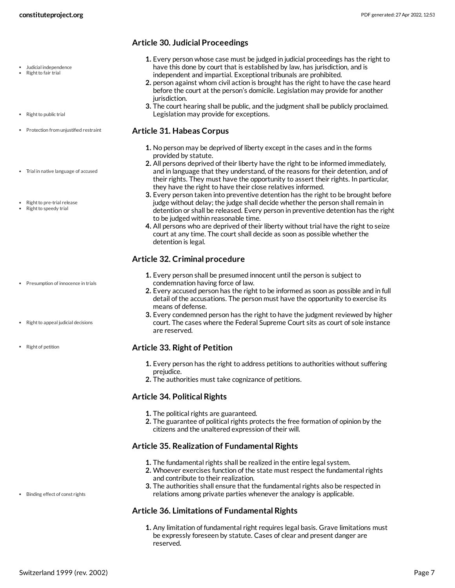- Judicial independence
- Right to fair trial
- Right to public trial
- Protection from unjustified restraint
- Trial in native language of accused
- Right to pre-trial release
- Right to speedy trial

- Presumption of innocence in trials
- Right to appeal judicial decisions
- Right of petition

#### Binding effect of const rights

- **Article 30. Judicial Proceedings**
	- **1.** Every person whose case must be judged in judicial proceedings has the right to have this done by court that is established by law, has jurisdiction, and is independent and impartial. Exceptional tribunals are prohibited.
	- **2.** person against whom civil action is brought has the right to have the case heard before the court at the person's domicile. Legislation may provide for another jurisdiction.
	- **3.** The court hearing shall be public, and the judgment shall be publicly proclaimed. Legislation may provide for exceptions.

#### <span id="page-6-3"></span>**Article 31. Habeas Corpus**

- **1.** No person may be deprived of liberty except in the cases and in the forms provided by statute.
- **2.** All persons deprived of their liberty have the right to be informed immediately, and in language that they understand, of the reasons for their detention, and of their rights. They must have the opportunity to assert their rights. In particular, they have the right to have their close relatives informed.
- **3.** Every person taken into preventive detention has the right to be brought before judge without delay; the judge shall decide whether the person shall remain in detention or shall be released. Every person in preventive detention has the right to be judged within reasonable time.
- **4.** All persons who are deprived of their liberty without trial have the right to seize court at any time. The court shall decide as soon as possible whether the detention is legal.

#### <span id="page-6-2"></span>**Article 32. Criminal procedure**

- **1.** Every person shall be presumed innocent until the person is subject to condemnation having force of law.
- **2.** Every accused person has the right to be informed as soon as possible and in full detail of the accusations. The person must have the opportunity to exercise its means of defense.
- **3.** Every condemned person has the right to have the judgment reviewed by higher court. The cases where the Federal Supreme Court sits as court of sole instance are reserved.

#### <span id="page-6-4"></span>**Article 33. Right of Petition**

- **1.** Every person has the right to address petitions to authorities without suffering prejudice.
- **2.** The authorities must take cognizance of petitions.

#### **Article 34. Political Rights**

- **1.** The political rights are guaranteed.
- **2.** The guarantee of political rights protects the free formation of opinion by the citizens and the unaltered expression of their will.

#### <span id="page-6-0"></span>**Article 35. Realization of Fundamental Rights**

- **1.** The fundamental rights shall be realized in the entire legal system.
- **2.** Whoever exercises function of the state must respect the fundamental rights and contribute to their realization.
- **3.** The authorities shall ensure that the fundamental rights also be respected in relations among private parties whenever the analogy is applicable.

#### <span id="page-6-1"></span>**Article 36. Limitations of Fundamental Rights**

**1.** Any limitation of fundamental right requires legal basis. Grave limitations must be expressly foreseen by statute. Cases of clear and present danger are reserved.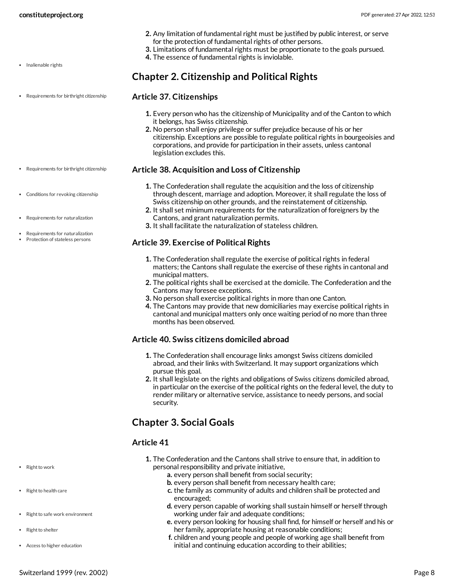- **2.** Any limitation of fundamental right must be justified by public interest, or serve for the protection of fundamental rights of other persons.
- **3.** Limitations of fundamental rights must be proportionate to the goals pursued.
- **4.** The essence of fundamental rights is inviolable.

<span id="page-7-0"></span>**Chapter 2. Citizenship and Political Rights**

- Inalienable rights
- Requirements for birthright citizenship
- <span id="page-7-4"></span>**Article 37. Citizenships**
	- **1.** Every person who has the citizenship of Municipality and of the Canton to which it belongs, has Swiss citizenship.
	- **2.** No person shall enjoy privilege or suffer prejudice because of his or her citizenship. Exceptions are possible to regulate political rights in bourgeoisies and corporations, and provide for participation in their assets, unless cantonal legislation excludes this.

#### <span id="page-7-3"></span>**Article 38. Acquisition and Loss of Citizenship**

- **1.** The Confederation shall regulate the acquisition and the loss of citizenship through descent, marriage and adoption. Moreover, it shall regulate the loss of Swiss citizenship on other grounds, and the reinstatement of citizenship.
- **2.** It shall set minimum requirements for the naturalization of foreigners by the Cantons, and grant naturalization permits.
- **3.** It shall facilitate the naturalization of stateless children.

#### **Article 39. Exercise of Political Rights**

- **1.** The Confederation shall regulate the exercise of political rights in federal matters; the Cantons shall regulate the exercise of these rights in cantonal and municipal matters.
- **2.** The political rights shall be exercised at the domicile. The Confederation and the Cantons may foresee exceptions.
- **3.** No person shall exercise political rights in more than one Canton.
- **4.** The Cantons may provide that new domiciliaries may exercise political rights in cantonal and municipal matters only once waiting period of no more than three months has been observed.

#### **Article 40. Swiss citizens domiciled abroad**

- **1.** The Confederation shall encourage links amongst Swiss citizens domiciled abroad, and their links with Switzerland. It may support organizations which pursue this goal.
- **2.** It shall legislate on the rights and obligations of Swiss citizens domiciled abroad, in particular on the exercise of the political rights on the federal level, the duty to render military or alternative service, assistance to needy persons, and social security.

## <span id="page-7-1"></span>**Chapter 3. Social Goals**

#### <span id="page-7-2"></span>**Article 41**

- **1.** The Confederation and the Cantons shall strive to ensure that, in addition to personal responsibility and private initiative,
	- **a.** every person shall benefit from social security;
	- **b.** every person shall benefit from necessary health care;
	- **c.** the family as community of adults and children shall be protected and encouraged;
	- **d.** every person capable of working shall sustain himself or herself through working under fair and adequate conditions;
	- **e.** every person looking for housing shall find, for himself or herself and his or her family, appropriate housing at reasonable conditions;
	- **f.** children and young people and people of working age shall benefit from initial and continuing education according to their abilities;
- 
- Requirements for birthright citizenship
- Conditions for revoking citizenship
- Requirements for naturalization
- Requirements for naturalization
- Protection of stateless persons

• Right to work

• Right to health care

• Right to shelter

• Right to safe work environment

Access to higher education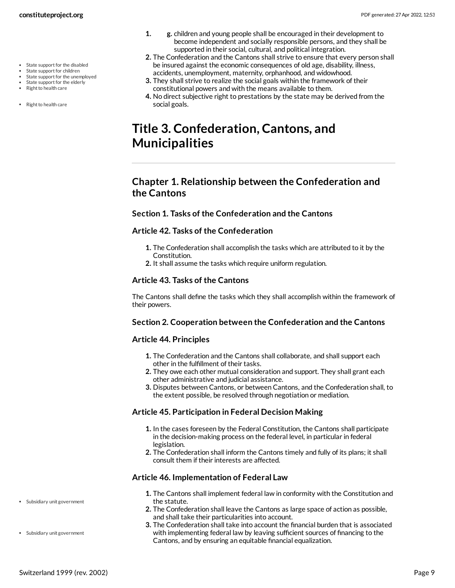- State support for the disabled
- State support for children
- State support for the unemployed State support for the elderly
- Right to health care
- 
- Right to health care
- **1. g.** children and young people shall be encouraged in their development to become independent and socially responsible persons, and they shall be supported in their social, cultural, and political integration.
- **2.** The Confederation and the Cantons shall strive to ensure that every person shall be insured against the economic consequences of old age, disability, illness, accidents, unemployment, maternity, orphanhood, and widowhood.
- **3.** They shall strive to realize the social goals within the framework of their constitutional powers and with the means available to them.
- **4.** No direct subjective right to prestations by the state may be derived from the social goals.

## <span id="page-8-0"></span>**Title 3. Confederation, Cantons, and Municipalities**

## <span id="page-8-1"></span>**Chapter 1. Relationship between the Confederation and the Cantons**

#### **Section 1. Tasks of the Confederation and the Cantons**

#### **Article 42. Tasks of the Confederation**

- **1.** The Confederation shall accomplish the tasks which are attributed to it by the Constitution.
- **2.** It shall assume the tasks which require uniform regulation.

#### **Article 43. Tasks of the Cantons**

The Cantons shall define the tasks which they shall accomplish within the framework of their powers.

#### **Section 2. Cooperation between the Confederation and the Cantons**

#### **Article 44. Principles**

- **1.** The Confederation and the Cantons shall collaborate, and shall support each other in the fulfillment of their tasks.
- **2.** They owe each other mutual consideration and support. They shall grant each other administrative and judicial assistance.
- **3.** Disputes between Cantons, or between Cantons, and the Confederation shall, to the extent possible, be resolved through negotiation or mediation.

#### **Article 45. Participation in Federal Decision Making**

- **1.** In the cases foreseen by the Federal Constitution, the Cantons shall participate in the decision-making process on the federal level, in particular in federal legislation.
- **2.** The Confederation shall inform the Cantons timely and fully of its plans; it shall consult them if their interests are affected.

#### <span id="page-8-2"></span>**Article 46. Implementation of Federal Law**

- **1.** The Cantons shall implement federal law in conformity with the Constitution and the statute.
- **2.** The Confederation shall leave the Cantons as large space of action as possible, and shall take their particularities into account.
- **3.** The Confederation shall take into account the financial burden that is associated with implementing federal law by leaving sufficient sources of financing to the Cantons, and by ensuring an equitable financial equalization.

Subsidiary unit government

Subsidiary unit government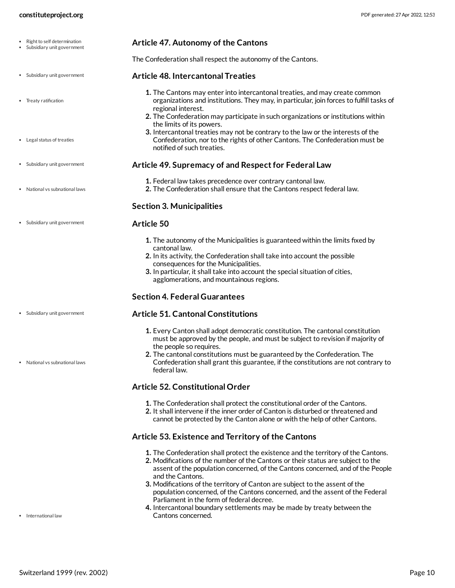<span id="page-9-3"></span><span id="page-9-2"></span><span id="page-9-1"></span>

| constituteproject.org                                     | PDF generated: 27 Apr 2022, 12:53                                                                                                                                                                                                                                                                                                                                               |
|-----------------------------------------------------------|---------------------------------------------------------------------------------------------------------------------------------------------------------------------------------------------------------------------------------------------------------------------------------------------------------------------------------------------------------------------------------|
| Right to self determination<br>Subsidiary unit government | Article 47. Autonomy of the Cantons                                                                                                                                                                                                                                                                                                                                             |
|                                                           | The Confederation shall respect the autonomy of the Cantons.                                                                                                                                                                                                                                                                                                                    |
| • Subsidiary unit government                              | <b>Article 48. Intercantonal Treaties</b>                                                                                                                                                                                                                                                                                                                                       |
| • Treaty ratification                                     | 1. The Cantons may enter into intercantonal treaties, and may create common<br>organizations and institutions. They may, in particular, join forces to fulfill tasks of<br>regional interest.<br>2. The Confederation may participate in such organizations or institutions within                                                                                              |
| • Legal status of treaties                                | the limits of its powers.<br>3. Intercantonal treaties may not be contrary to the law or the interests of the<br>Confederation, nor to the rights of other Cantons. The Confederation must be<br>notified of such treaties.                                                                                                                                                     |
| • Subsidiary unit government                              | Article 49. Supremacy of and Respect for Federal Law                                                                                                                                                                                                                                                                                                                            |
| • National vs subnational laws                            | 1. Federal law takes precedence over contrary cantonal law.<br>2. The Confederation shall ensure that the Cantons respect federal law.                                                                                                                                                                                                                                          |
|                                                           | <b>Section 3. Municipalities</b>                                                                                                                                                                                                                                                                                                                                                |
| Subsidiary unit government                                | Article 50                                                                                                                                                                                                                                                                                                                                                                      |
|                                                           | 1. The autonomy of the Municipalities is guaranteed within the limits fixed by<br>cantonal law.<br>2. In its activity, the Confederation shall take into account the possible<br>consequences for the Municipalities.<br>3. In particular, it shall take into account the special situation of cities,<br>agglomerations, and mountainous regions.                              |
|                                                           | <b>Section 4. Federal Guarantees</b>                                                                                                                                                                                                                                                                                                                                            |
| • Subsidiary unit government                              | <b>Article 51. Cantonal Constitutions</b>                                                                                                                                                                                                                                                                                                                                       |
| • National vs subnational laws                            | 1. Every Canton shall adopt democratic constitution. The cantonal constitution<br>must be approved by the people, and must be subject to revision if majority of<br>the people so requires.<br>2. The cantonal constitutions must be guaranteed by the Confederation. The<br>Confederation shall grant this guarantee, if the constitutions are not contrary to<br>federal law. |
|                                                           | <b>Article 52. Constitutional Order</b>                                                                                                                                                                                                                                                                                                                                         |
|                                                           | 1. The Confederation shall protect the constitutional order of the Cantons.<br>2. It shall intervene if the inner order of Canton is disturbed or threatened and<br>cannot be protected by the Canton alone or with the help of other Cantons.                                                                                                                                  |

## <span id="page-9-0"></span>**Article 53. Existence and Territory of the Cantons**

- **1.** The Confederation shall protect the existence and the territory of the Cantons.
- **2.** Modifications of the number of the Cantons or their status are subject to the assent of the population concerned, of the Cantons concerned, and of the People and the Cantons.
- **3.** Modifications of the territory of Canton are subject to the assent of the population concerned, of the Cantons concerned, and the assent of the Federal Parliament in the form of federal decree.
- **4.** Intercantonal boundary settlements may be made by treaty between the Cantons concerned.

• International law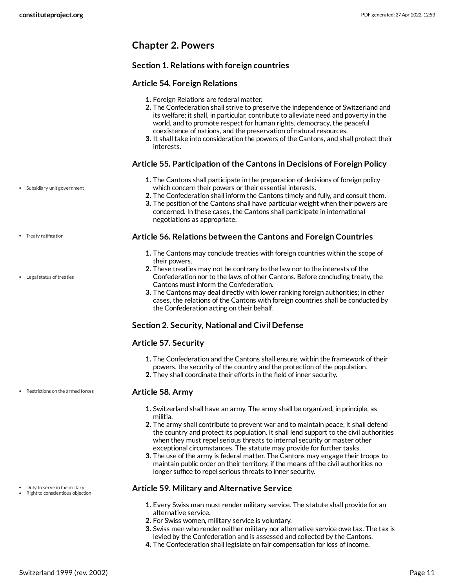## <span id="page-10-0"></span>**Chapter 2. Powers**

#### **Section 1. Relations with foreign countries**

#### **Article 54. Foreign Relations**

- **1.** Foreign Relations are federal matter.
- **2.** The Confederation shall strive to preserve the independence of Switzerland and its welfare; it shall, in particular, contribute to alleviate need and poverty in the world, and to promote respect for human rights, democracy, the peaceful coexistence of nations, and the preservation of natural resources.
- **3.** It shall take into consideration the powers of the Cantons, and shall protect their interests.

#### <span id="page-10-4"></span>**Article 55. Participation of the Cantons in Decisions of Foreign Policy**

- **1.** The Cantons shall participate in the preparation of decisions of foreign policy which concern their powers or their essential interests.
- **2.** The Confederation shall inform the Cantons timely and fully, and consult them.
- **3.** The position of the Cantons shall have particular weight when their powers are concerned. In these cases, the Cantons shall participate in international negotiations as appropriate.

#### <span id="page-10-2"></span>**Article 56. Relations between the Cantons and Foreign Countries**

- **1.** The Cantons may conclude treaties with foreign countries within the scope of their powers.
- **2.** These treaties may not be contrary to the law nor to the interests of the Confederation nor to the laws of other Cantons. Before concluding treaty, the Cantons must inform the Confederation.
- **3.** The Cantons may deal directly with lower ranking foreign authorities; in other cases, the relations of the Cantons with foreign countries shall be conducted by the Confederation acting on their behalf.

## **Section 2. Security, National and Civil Defense**

## **Article 57. Security**

- **1.** The Confederation and the Cantons shall ensure, within the framework of their powers, the security of the country and the protection of the population.
- **2.** They shall coordinate their efforts in the field of inner security.

#### <span id="page-10-3"></span>**Article 58. Army**

- **1.** Switzerland shall have an army. The army shall be organized, in principle, as militia.
- **2.** The army shall contribute to prevent war and to maintain peace; it shall defend the country and protect its population. It shall lend support to the civil authorities when they must repel serious threats to internal security or master other exceptional circumstances. The statute may provide for further tasks.
- **3.** The use of the army is federal matter. The Cantons may engage their troops to maintain public order on their territory, if the means of the civil authorities no longer suffice to repel serious threats to inner security.

#### <span id="page-10-1"></span>**Article 59. Military and Alternative Service**

- **1.** Every Swiss man must render military service. The statute shall provide for an alternative service.
- **2.** For Swiss women, military service is voluntary.
- **3.** Swiss men who render neither military nor alternative service owe tax. The tax is levied by the Confederation and is assessed and collected by the Cantons.
- **4.** The Confederation shall legislate on fair compensation for loss of income.

Subsidiary unit government

- Treaty ratification
- Legal status of treaties

Restrictions on the armed forces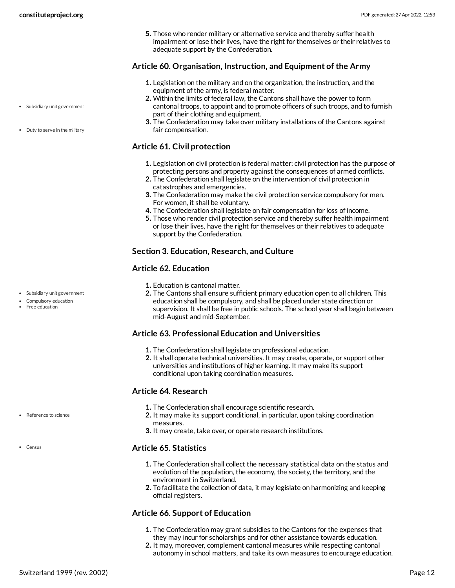**5.** Those who render military or alternative service and thereby suffer health impairment or lose their lives, have the right for themselves or their relatives to adequate support by the Confederation.

#### <span id="page-11-2"></span>**Article 60. Organisation, Instruction, and Equipment of the Army**

- **1.** Legislation on the military and on the organization, the instruction, and the equipment of the army, is federal matter.
- **2.** Within the limits of federal law, the Cantons shall have the power to form cantonal troops, to appoint and to promote officers of such troops, and to furnish part of their clothing and equipment.
- **3.** The Confederation may take over military installations of the Cantons against fair compensation.

#### **Article 61. Civil protection**

- **1.** Legislation on civil protection is federal matter; civil protection has the purpose of protecting persons and property against the consequences of armed conflicts.
- **2.** The Confederation shall legislate on the intervention of civil protection in catastrophes and emergencies.
- **3.** The Confederation may make the civil protection service compulsory for men. For women, it shall be voluntary.
- **4.** The Confederation shall legislate on fair compensation for loss of income.
- **5.** Those who render civil protection service and thereby suffer health impairment or lose their lives, have the right for themselves or their relatives to adequate support by the Confederation.

#### **Section 3. Education, Research, and Culture**

#### <span id="page-11-1"></span>**Article 62. Education**

- **1.** Education is cantonal matter.
- **2.** The Cantons shall ensure sufficient primary education open to all children. This education shall be compulsory, and shall be placed under state direction or supervision. It shall be free in public schools. The school year shall begin between mid-August and mid-September.

## **Article 63. Professional Education and Universities**

- **1.** The Confederation shall legislate on professional education.
- **2.** It shall operate technical universities. It may create, operate, or support other universities and institutions of higher learning. It may make its support conditional upon taking coordination measures.

## <span id="page-11-3"></span>**Article 64. Research**

- **1.** The Confederation shall encourage scientific research.
- **2.** It may make its support conditional, in particular, upon taking coordination measures.
- **3.** It may create, take over, or operate research institutions.

#### <span id="page-11-0"></span>**Article 65. Statistics**

- **1.** The Confederation shall collect the necessary statistical data on the status and evolution of the population, the economy, the society, the territory, and the environment in Switzerland.
- **2.** To facilitate the collection of data, it may legislate on harmonizing and keeping official registers.

## **Article 66. Support of Education**

- **1.** The Confederation may grant subsidies to the Cantons for the expenses that they may incur for scholarships and for other assistance towards education.
- **2.** It may, moreover, complement cantonal measures while respecting cantonal autonomy in school matters, and take its own measures to encourage education.
- Subsidiary unit government
- Duty to serve in the military

- Subsidiary unit government
- Compulsory education
- Free education

Reference to science

• Census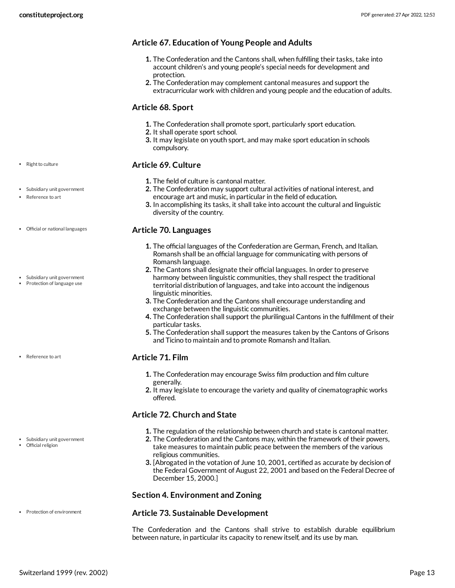## **Article 67. Education of Young People and Adults**

- **1.** The Confederation and the Cantons shall, when fulfilling their tasks, take into account children's and young people's special needs for development and protection.
- **2.** The Confederation may complement cantonal measures and support the extracurricular work with children and young people and the education of adults.

#### **Article 68. Sport**

- **1.** The Confederation shall promote sport, particularly sport education.
- **2.** It shall operate sport school.
- **3.** It may legislate on youth sport, and may make sport education in schools compulsory.

## <span id="page-12-3"></span>**Article 69. Culture**

- **1.** The field of culture is cantonal matter.
- **2.** The Confederation may support cultural activities of national interest, and encourage art and music, in particular in the field of education.
- **3.** In accomplishing its tasks, it shall take into account the cultural and linguistic diversity of the country.

#### <span id="page-12-0"></span>**Article 70. Languages**

- **1.** The official languages of the Confederation are German, French, and Italian. Romansh shall be an official language for communicating with persons of Romansh language.
- **2.** The Cantons shall designate their official languages. In order to preserve harmony between linguistic communities, they shall respect the traditional territorial distribution of languages, and take into account the indigenous linguistic minorities.
- **3.** The Confederation and the Cantons shall encourage understanding and exchange between the linguistic communities.
- **4.** The Confederation shall support the plurilingual Cantons in the fulfillment of their particular tasks.
- **5.** The Confederation shall support the measures taken by the Cantons of Grisons and Ticino to maintain and to promote Romansh and Italian.

#### **Article 71. Film**

- **1.** The Confederation may encourage Swiss film production and film culture generally.
- **2.** It may legislate to encourage the variety and quality of cinematographic works offered.

## <span id="page-12-1"></span>**Article 72. Church and State**

- **1.** The regulation of the relationship between church and state is cantonal matter.
- **2.** The Confederation and the Cantons may, within the framework of their powers, take measures to maintain public peace between the members of the various religious communities.
- **3.** [Abrogated in the votation of June 10, 2001, certified as accurate by decision of the Federal Government of August 22, 2001 and based on the Federal Decree of December 15, 2000.]

## **Section 4. Environment and Zoning**

#### <span id="page-12-2"></span>**Article 73. Sustainable Development**

The Confederation and the Cantons shall strive to establish durable equilibrium between nature, in particular its capacity to renew itself, and its use by man.

#### • Right to culture

- Subsidiary unit government
- Reference to art
- Official or national languages
- Subsidiary unit government • Protection of language use

• Reference to art

Subsidiary unit government

• Protection of environment

Official religion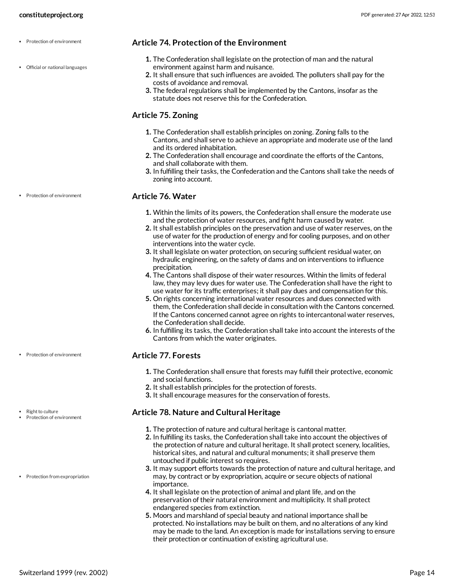Official or national languages

Protection of environment

#### <span id="page-13-0"></span>**Article 74. Protection of the Environment**

- **1.** The Confederation shall legislate on the protection of man and the natural environment against harm and nuisance.
- **2.** It shall ensure that such influences are avoided. The polluters shall pay for the costs of avoidance and removal.
- **3.** The federal regulations shall be implemented by the Cantons, insofar as the statute does not reserve this for the Confederation.

#### **Article 75. Zoning**

- **1.** The Confederation shall establish principles on zoning. Zoning falls to the Cantons, and shall serve to achieve an appropriate and moderate use of the land and its ordered inhabitation.
- **2.** The Confederation shall encourage and coordinate the efforts of the Cantons, and shall collaborate with them.
- **3.** In fulfilling their tasks, the Confederation and the Cantons shall take the needs of zoning into account.

#### **Article 76. Water**

- **1.** Within the limits of its powers, the Confederation shall ensure the moderate use and the protection of water resources, and fight harm caused by water.
- **2.** It shall establish principles on the preservation and use of water reserves, on the use of water for the production of energy and for cooling purposes, and on other interventions into the water cycle.
- **3.** It shall legislate on water protection, on securing sufficient residual water, on hydraulic engineering, on the safety of dams and on interventions to influence precipitation.
- **4.** The Cantons shall dispose of their water resources. Within the limits of federal law, they may levy dues for water use. The Confederation shall have the right to use water for its traffic enterprises; it shall pay dues and compensation for this.
- **5.** On rights concerning international water resources and dues connected with them, the Confederation shall decide in consultation with the Cantons concerned. If the Cantons concerned cannot agree on rights to intercantonal water reserves, the Confederation shall decide.
- **6.** In fulfilling its tasks, the Confederation shall take into account the interests of the Cantons from which the water originates.

#### **Article 77. Forests**

- **1.** The Confederation shall ensure that forests may fulfill their protective, economic and social functions.
- **2.** It shall establish principles for the protection of forests.
- **3.** It shall encourage measures for the conservation of forests.

#### <span id="page-13-1"></span>**Article 78. Nature and Cultural Heritage**

- **1.** The protection of nature and cultural heritage is cantonal matter.
- **2.** In fulfilling its tasks, the Confederation shall take into account the objectives of the protection of nature and cultural heritage. It shall protect scenery, localities, historical sites, and natural and cultural monuments; it shall preserve them untouched if public interest so requires.
- **3.** It may support efforts towards the protection of nature and cultural heritage, and may, by contract or by expropriation, acquire or secure objects of national importance.
- **4.** It shall legislate on the protection of animal and plant life, and on the preservation of their natural environment and multiplicity. It shall protect endangered species from extinction.
- **5.** Moors and marshland of special beauty and national importance shall be protected. No installations may be built on them, and no alterations of any kind may be made to the land. An exception is made for installations serving to ensure their protection or continuation of existing agricultural use.

• Protection of environment

Right to culture

- Protection of environment
- Protection from expropriation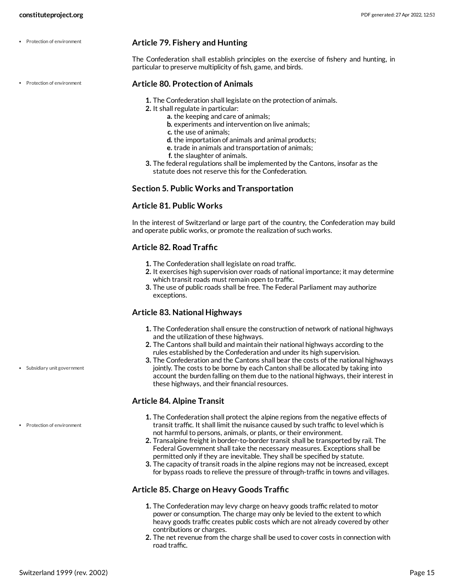• Protection of environment

• Protection of environment

#### <span id="page-14-0"></span>**Article 79. Fishery and Hunting**

The Confederation shall establish principles on the exercise of fishery and hunting, in particular to preserve multiplicity of fish, game, and birds.

#### **Article 80. Protection of Animals**

- **1.** The Confederation shall legislate on the protection of animals.
- **2.** It shall regulate in particular:
	- **a.** the keeping and care of animals;
		- **b.** experiments and intervention on live animals;
	- **c.** the use of animals;
	- **d.** the importation of animals and animal products;
	- **e.** trade in animals and transportation of animals;
	- **f.** the slaughter of animals.
- **3.** The federal regulations shall be implemented by the Cantons, insofar as the statute does not reserve this for the Confederation.

#### **Section 5. Public Works and Transportation**

#### **Article 81. Public Works**

In the interest of Switzerland or large part of the country, the Confederation may build and operate public works, or promote the realization of such works.

#### **Article 82. Road Traffic**

- **1.** The Confederation shall legislate on road traffic.
- **2.** It exercises high supervision over roads of national importance; it may determine which transit roads must remain open to traffic.
- **3.** The use of public roads shall be free. The Federal Parliament may authorize exceptions.

#### <span id="page-14-1"></span>**Article 83. National Highways**

- **1.** The Confederation shall ensure the construction of network of national highways and the utilization of these highways.
- **2.** The Cantons shall build and maintain their national highways according to the rules established by the Confederation and under its high supervision.
- **3.** The Confederation and the Cantons shall bear the costs of the national highways jointly. The costs to be borne by each Canton shall be allocated by taking into account the burden falling on them due to the national highways, their interest in these highways, and their financial resources.

#### **Article 84. Alpine Transit**

- **1.** The Confederation shall protect the alpine regions from the negative effects of transit traffic. It shall limit the nuisance caused by such traffic to level which is not harmful to persons, animals, or plants, or their environment.
- **2.** Transalpine freight in border-to-border transit shall be transported by rail. The Federal Government shall take the necessary measures. Exceptions shall be permitted only if they are inevitable. They shall be specified by statute.
- **3.** The capacity of transit roads in the alpine regions may not be increased, except for bypass roads to relieve the pressure of through-traffic in towns and villages.

#### **Article 85. Charge on Heavy Goods Traffic**

- **1.** The Confederation may levy charge on heavy goods traffic related to motor power or consumption. The charge may only be levied to the extent to which heavy goods traffic creates public costs which are not already covered by other contributions or charges.
- **2.** The net revenue from the charge shall be used to cover costs in connection with road traffic.

#### Subsidiary unit government

• Protection of environment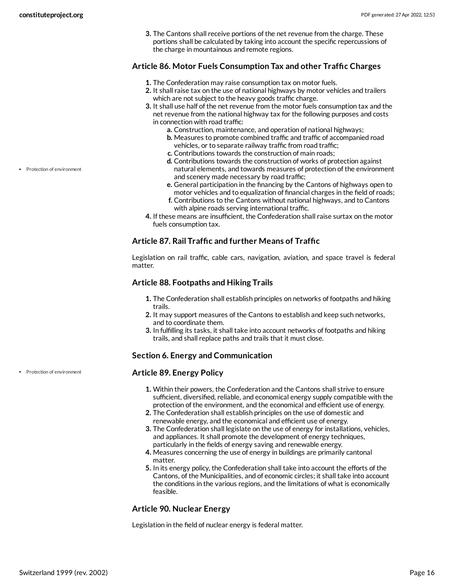**3.** The Cantons shall receive portions of the net revenue from the charge. These portions shall be calculated by taking into account the specific repercussions of the charge in mountainous and remote regions.

#### <span id="page-15-0"></span>**Article 86. Motor Fuels Consumption Tax and other Traffic Charges**

- **1.** The Confederation may raise consumption tax on motor fuels.
- **2.** It shall raise tax on the use of national highways by motor vehicles and trailers which are not subject to the heavy goods traffic charge.
- **3.** It shall use half of the net revenue from the motor fuels consumption tax and the net revenue from the national highway tax for the following purposes and costs in connection with road traffic:
	- **a.** Construction, maintenance, and operation of national highways;
	- **b.** Measures to promote combined traffic and traffic of accompanied road vehicles, or to separate railway traffic from road traffic;
	- **c.** Contributions towards the construction of main roads;
	- **d.** Contributions towards the construction of works of protection against natural elements, and towards measures of protection of the environment and scenery made necessary by road traffic;
	- **e.** General participation in the financing by the Cantons of highways open to motor vehicles and to equalization of financial charges in the field of roads;
	- **f.** Contributions to the Cantons without national highways, and to Cantons with alpine roads serving international traffic.
- **4.** If these means are insufficient, the Confederation shall raise surtax on the motor fuels consumption tax.

## **Article 87. Rail Traffic and further Means of Traffic**

Legislation on rail traffic, cable cars, navigation, aviation, and space travel is federal matter.

#### **Article 88. Footpaths and Hiking Trails**

- **1.** The Confederation shall establish principles on networks of footpaths and hiking trails.
- **2.** It may support measures of the Cantons to establish and keep such networks, and to coordinate them.
- **3.** In fulfilling its tasks, it shall take into account networks of footpaths and hiking trails, and shall replace paths and trails that it must close.

#### **Section 6. Energy and Communication**

#### **Article 89. Energy Policy**

- **1.** Within their powers, the Confederation and the Cantons shall strive to ensure sufficient, diversified, reliable, and economical energy supply compatible with the protection of the environment, and the economical and efficient use of energy.
- **2.** The Confederation shall establish principles on the use of domestic and renewable energy, and the economical and efficient use of energy.
- **3.** The Confederation shall legislate on the use of energy for installations, vehicles, and appliances. It shall promote the development of energy techniques, particularly in the fields of energy saving and renewable energy.
- **4.** Measures concerning the use of energy in buildings are primarily cantonal matter.
- **5.** In its energy policy, the Confederation shall take into account the efforts of the Cantons, of the Municipalities, and of economic circles; it shall take into account the conditions in the various regions, and the limitations of what is economically feasible.

## **Article 90. Nuclear Energy**

Legislation in the field of nuclear energy is federal matter.

• Protection of environment

• Protection of environment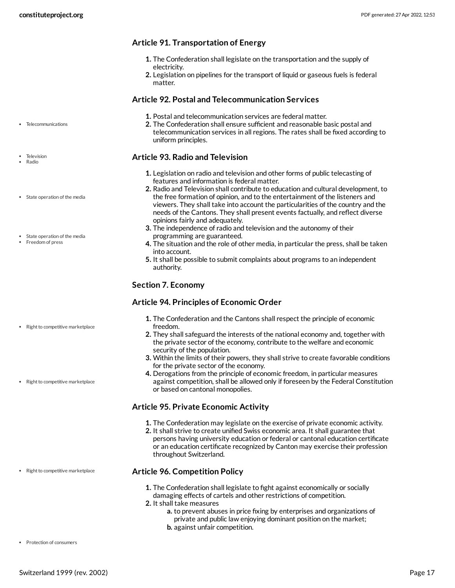#### **Article 91. Transportation of Energy**

- **1.** The Confederation shall legislate on the transportation and the supply of electricity.
- **2.** Legislation on pipelines for the transport of liquid or gaseous fuels is federal matter.

#### <span id="page-16-3"></span>**Article 92. Postal and Telecommunication Services**

- **1.** Postal and telecommunication services are federal matter.
- **2.** The Confederation shall ensure sufficient and reasonable basic postal and telecommunication services in all regions. The rates shall be fixed according to uniform principles.

## <span id="page-16-0"></span>**Article 93. Radio and Television**

- **1.** Legislation on radio and television and other forms of public telecasting of features and information is federal matter.
- **2.** Radio and Television shall contribute to education and cultural development, to the free formation of opinion, and to the entertainment of the listeners and viewers. They shall take into account the particularities of the country and the needs of the Cantons. They shall present events factually, and reflect diverse opinions fairly and adequately.
- **3.** The independence of radio and television and the autonomy of their programming are guaranteed.
- **4.** The situation and the role of other media, in particular the press, shall be taken into account.
- **5.** It shall be possible to submit complaints about programs to an independent authority.

#### **Section 7. Economy**

#### <span id="page-16-2"></span>**Article 94. Principles of Economic Order**

- **1.** The Confederation and the Cantons shall respect the principle of economic freedom.
- **2.** They shall safeguard the interests of the national economy and, together with the private sector of the economy, contribute to the welfare and economic security of the population.
- **3.** Within the limits of their powers, they shall strive to create favorable conditions for the private sector of the economy.
- **4.** Derogations from the principle of economic freedom, in particular measures against competition, shall be allowed only if foreseen by the Federal Constitution or based on cantonal monopolies.

#### **Article 95. Private Economic Activity**

- **1.** The Confederation may legislate on the exercise of private economic activity.
- **2.** It shall strive to create unified Swiss economic area. It shall guarantee that persons having university education or federal or cantonal education certificate or an education certificate recognized by Canton may exercise their profession throughout Switzerland.

#### **Article 96. Competition Policy**

- **1.** The Confederation shall legislate to fight against economically or socially damaging effects of cartels and other restrictions of competition.
- <span id="page-16-1"></span>**2.** It shall take measures
	- **a.** to prevent abuses in price fixing by enterprises and organizations of private and public law enjoying dominant position on the market; **b.** against unfair competition.

• Telecommunications

- Television Radio
- State operation of the media
- State operation of the media
- Freedom of press

• Right to competitive marketplace

• Right to competitive marketplace

• Right to competitive marketplace

**•** Protection of consumers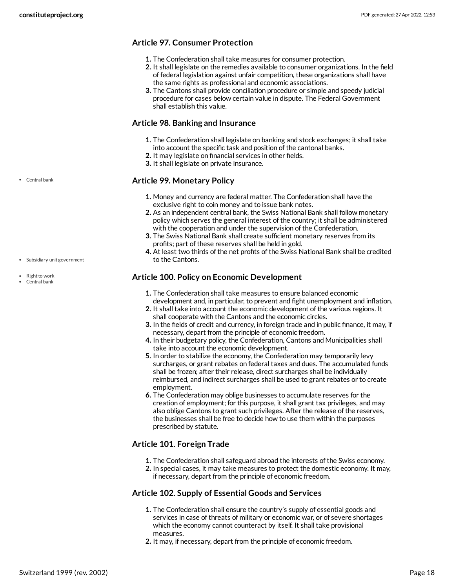## **Article 97. Consumer Protection**

- **1.** The Confederation shall take measures for consumer protection.
- **2.** It shall legislate on the remedies available to consumer organizations. In the field of federal legislation against unfair competition, these organizations shall have the same rights as professional and economic associations.
- **3.** The Cantons shall provide conciliation procedure or simple and speedy judicial procedure for cases below certain value in dispute. The Federal Government shall establish this value.

#### **Article 98. Banking and Insurance**

- **1.** The Confederation shall legislate on banking and stock exchanges; it shall take
- into account the specific task and position of the cantonal banks.
- **2.** It may legislate on financial services in other fields.
- **3.** It shall legislate on private insurance.

#### <span id="page-17-0"></span>**Article 99. Monetary Policy**

- **1.** Money and currency are federal matter. The Confederation shall have the exclusive right to coin money and to issue bank notes.
- **2.** As an independent central bank, the Swiss National Bank shall follow monetary policy which serves the general interest of the country; it shall be administered with the cooperation and under the supervision of the Confederation.
- **3.** The Swiss National Bank shall create sufficient monetary reserves from its profits; part of these reserves shall be held in gold.
- **4.** At least two thirds of the net profits of the Swiss National Bank shall be credited to the Cantons.

## <span id="page-17-1"></span>**Article 100. Policy on Economic Development**

- **1.** The Confederation shall take measures to ensure balanced economic development and, in particular, to prevent and fight unemployment and inflation.
- **2.** It shall take into account the economic development of the various regions. It shall cooperate with the Cantons and the economic circles.
- **3.** In the fields of credit and currency, in foreign trade and in public finance, it may, if necessary, depart from the principle of economic freedom.
- **4.** In their budgetary policy, the Confederation, Cantons and Municipalities shall take into account the economic development.
- **5.** In order to stabilize the economy, the Confederation may temporarily levy surcharges, or grant rebates on federal taxes and dues. The accumulated funds shall be frozen; after their release, direct surcharges shall be individually reimbursed, and indirect surcharges shall be used to grant rebates or to create employment.
- **6.** The Confederation may oblige businesses to accumulate reserves for the creation of employment; for this purpose, it shall grant tax privileges, and may also oblige Cantons to grant such privileges. After the release of the reserves, the businesses shall be free to decide how to use them within the purposes prescribed by statute.

## **Article 101. Foreign Trade**

- **1.** The Confederation shall safeguard abroad the interests of the Swiss economy.
- **2.** In special cases, it may take measures to protect the domestic economy. It may, if necessary, depart from the principle of economic freedom.

#### **Article 102. Supply of Essential Goods and Services**

- **1.** The Confederation shall ensure the country's supply of essential goods and services in case of threats of military or economic war, or of severe shortages which the economy cannot counteract by itself. It shall take provisional measures.
- **2.** It may, if necessary, depart from the principle of economic freedom.

Central bank

Subsidiary unit government

• Right to work Central bank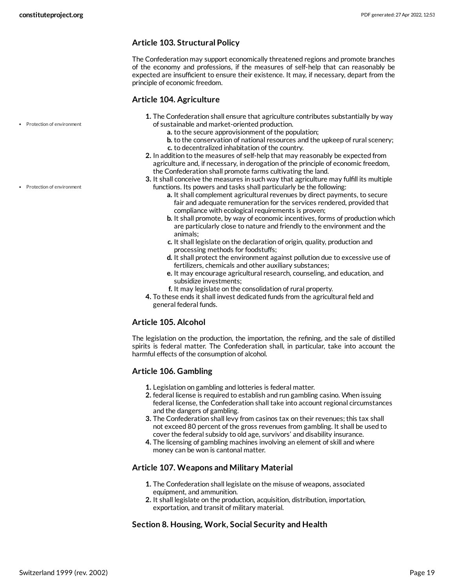## **Article 103. Structural Policy**

The Confederation may support economically threatened regions and promote branches of the economy and professions, if the measures of self-help that can reasonably be expected are insufficient to ensure their existence. It may, if necessary, depart from the principle of economic freedom.

#### <span id="page-18-0"></span>**Article 104. Agriculture**

- **1.** The Confederation shall ensure that agriculture contributes substantially by way of sustainable and market-oriented production.
	- **a.** to the secure approvisionment of the population;
	- **b.** to the conservation of national resources and the upkeep of rural scenery; **c.** to decentralized inhabitation of the country.
- **2.** In addition to the measures of self-help that may reasonably be expected from agriculture and, if necessary, in derogation of the principle of economic freedom, the Confederation shall promote farms cultivating the land.
- **3.** It shall conceive the measures in such way that agriculture may fulfill its multiple functions. Its powers and tasks shall particularly be the following:
	- **a.** It shall complement agricultural revenues by direct payments, to secure fair and adequate remuneration for the services rendered, provided that compliance with ecological requirements is proven;
	- **b.** It shall promote, by way of economic incentives, forms of production which are particularly close to nature and friendly to the environment and the animals;
	- **c.** It shall legislate on the declaration of origin, quality, production and processing methods for foodstuffs;
	- **d.** It shall protect the environment against pollution due to excessive use of fertilizers, chemicals and other auxiliary substances;
	- **e.** It may encourage agricultural research, counseling, and education, and subsidize investments;
	- **f.** It may legislate on the consolidation of rural property.
- **4.** To these ends it shall invest dedicated funds from the agricultural field and general federal funds.

## **Article 105. Alcohol**

The legislation on the production, the importation, the refining, and the sale of distilled spirits is federal matter. The Confederation shall, in particular, take into account the harmful effects of the consumption of alcohol.

## **Article 106. Gambling**

- **1.** Legislation on gambling and lotteries is federal matter.
- **2.** federal license is required to establish and run gambling casino. When issuing federal license, the Confederation shall take into account regional circumstances and the dangers of gambling.
- **3.** The Confederation shall levy from casinos tax on their revenues; this tax shall not exceed 80 percent of the gross revenues from gambling. It shall be used to cover the federal subsidy to old age, survivors' and disability insurance.
- **4.** The licensing of gambling machines involving an element of skill and where money can be won is cantonal matter.

## **Article 107. Weapons and Military Material**

- **1.** The Confederation shall legislate on the misuse of weapons, associated equipment, and ammunition.
- **2.** It shall legislate on the production, acquisition, distribution, importation, exportation, and transit of military material.

## **Section 8. Housing, Work, Social Security and Health**

Protection of environment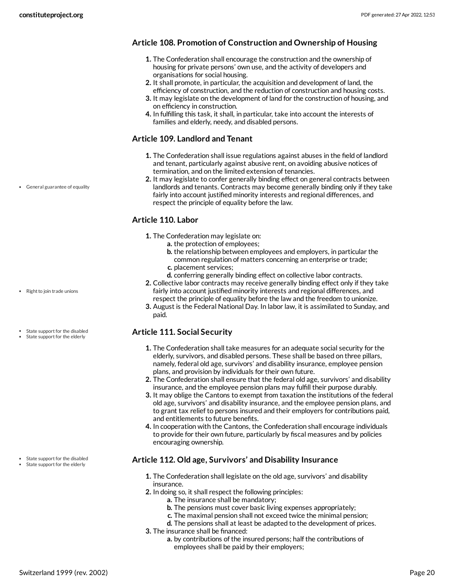## **Article 108. Promotion of Construction and Ownership of Housing**

- **1.** The Confederation shall encourage the construction and the ownership of housing for private persons' own use, and the activity of developers and organisations for social housing.
- **2.** It shall promote, in particular, the acquisition and development of land, the efficiency of construction, and the reduction of construction and housing costs.
- **3.** It may legislate on the development of land for the construction of housing, and on efficiency in construction.
- **4.** In fulfilling this task, it shall, in particular, take into account the interests of families and elderly, needy, and disabled persons.

## <span id="page-19-0"></span>**Article 109. Landlord and Tenant**

- **1.** The Confederation shall issue regulations against abuses in the field of landlord and tenant, particularly against abusive rent, on avoiding abusive notices of termination, and on the limited extension of tenancies.
- **2.** It may legislate to confer generally binding effect on general contracts between landlords and tenants. Contracts may become generally binding only if they take fairly into account justified minority interests and regional differences, and respect the principle of equality before the law.

## <span id="page-19-1"></span>**Article 110. Labor**

- **1.** The Confederation may legislate on:
	- **a.** the protection of employees;
	- **b.** the relationship between employees and employers, in particular the common regulation of matters concerning an enterprise or trade;
	- **c.** placement services;
	- **d.** conferring generally binding effect on collective labor contracts.
- **2.** Collective labor contracts may receive generally binding effect only if they take fairly into account justified minority interests and regional differences, and respect the principle of equality before the law and the freedom to unionize.
- **3.** August is the Federal National Day. In labor law, it is assimilated to Sunday, and paid.

## <span id="page-19-2"></span>**Article 111. Social Security**

- **1.** The Confederation shall take measures for an adequate social security for the elderly, survivors, and disabled persons. These shall be based on three pillars, namely, federal old age, survivors' and disability insurance, employee pension plans, and provision by individuals for their own future.
- **2.** The Confederation shall ensure that the federal old age, survivors' and disability insurance, and the employee pension plans may fulfill their purpose durably.
- **3.** It may oblige the Cantons to exempt from taxation the institutions of the federal old age, survivors' and disability insurance, and the employee pension plans, and to grant tax relief to persons insured and their employers for contributions paid, and entitlements to future benefits.
- **4.** In cooperation with the Cantons, the Confederation shall encourage individuals to provide for their own future, particularly by fiscal measures and by policies encouraging ownership.

## **Article 112. Old age, Survivors' and Disability Insurance**

- **1.** The Confederation shall legislate on the old age, survivors' and disability insurance.
- **2.** In doing so, it shall respect the following principles:
	- **a.** The insurance shall be mandatory;
	- **b.** The pensions must cover basic living expenses appropriately;
	- **c.** The maximal pension shall not exceed twice the minimal pension;
	- **d.** The pensions shall at least be adapted to the development of prices.
- **3.** The insurance shall be financed:
	- **a.** by contributions of the insured persons; half the contributions of employees shall be paid by their employers;

• General guarantee of equality

- Right to join trade unions
- State support for the disabled
- State support for the elderly

State support for the disabled

#### • State support for the elderly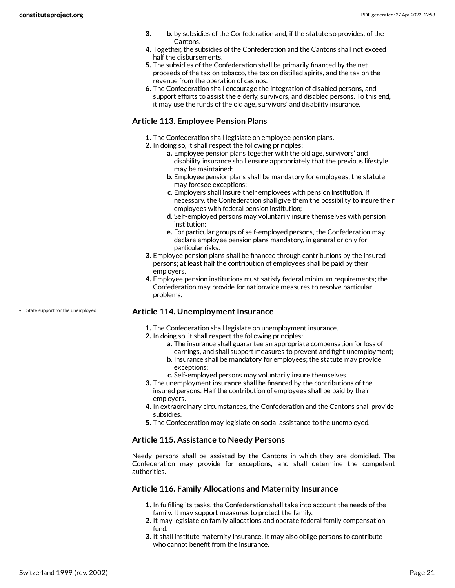- **3. b.** by subsidies of the Confederation and, if the statute so provides, of the Cantons.
- **4.** Together, the subsidies of the Confederation and the Cantons shall not exceed half the disbursements.
- **5.** The subsidies of the Confederation shall be primarily financed by the net proceeds of the tax on tobacco, the tax on distilled spirits, and the tax on the revenue from the operation of casinos.
- **6.** The Confederation shall encourage the integration of disabled persons, and support efforts to assist the elderly, survivors, and disabled persons. To this end, it may use the funds of the old age, survivors' and disability insurance.

#### **Article 113. Employee Pension Plans**

- **1.** The Confederation shall legislate on employee pension plans.
- **2.** In doing so, it shall respect the following principles:
	- **a.** Employee pension plans together with the old age, survivors' and disability insurance shall ensure appropriately that the previous lifestyle may be maintained;
	- **b.** Employee pension plans shall be mandatory for employees; the statute may foresee exceptions;
	- **c.** Employers shall insure their employees with pension institution. If necessary, the Confederation shall give them the possibility to insure their employees with federal pension institution;
	- **d.** Self-employed persons may voluntarily insure themselves with pension institution;
	- **e.** For particular groups of self-employed persons, the Confederation may declare employee pension plans mandatory, in general or only for particular risks.
- **3.** Employee pension plans shall be financed through contributions by the insured persons; at least half the contribution of employees shall be paid by their employers.
- **4.** Employee pension institutions must satisfy federal minimum requirements; the Confederation may provide for nationwide measures to resolve particular problems.

#### <span id="page-20-0"></span>**Article 114. Unemployment Insurance**

- **1.** The Confederation shall legislate on unemployment insurance.
- **2.** In doing so, it shall respect the following principles:
	- **a.** The insurance shall guarantee an appropriate compensation for loss of earnings, and shall support measures to prevent and fight unemployment;
	- **b.** Insurance shall be mandatory for employees; the statute may provide exceptions;
	- **c.** Self-employed persons may voluntarily insure themselves.
- **3.** The unemployment insurance shall be financed by the contributions of the insured persons. Half the contribution of employees shall be paid by their employers.
- **4.** In extraordinary circumstances, the Confederation and the Cantons shall provide subsidies.
- **5.** The Confederation may legislate on social assistance to the unemployed.

#### **Article 115. Assistance to Needy Persons**

Needy persons shall be assisted by the Cantons in which they are domiciled. The Confederation may provide for exceptions, and shall determine the competent authorities.

#### **Article 116. Family Allocations and Maternity Insurance**

- **1.** In fulfilling its tasks, the Confederation shall take into account the needs of the family. It may support measures to protect the family.
- **2.** It may legislate on family allocations and operate federal family compensation fund.
- **3.** It shall institute maternity insurance. It may also oblige persons to contribute who cannot benefit from the insurance.

• State support for the unemployed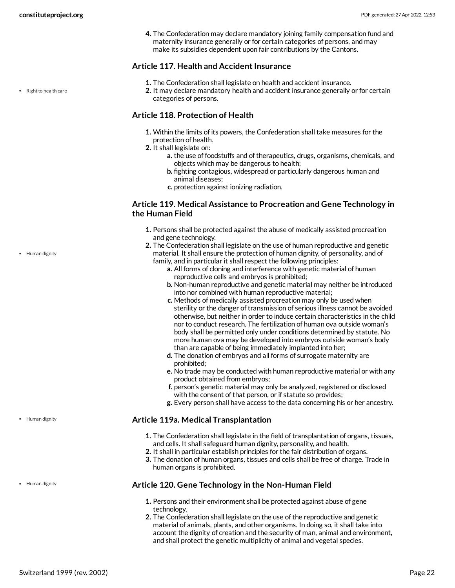**4.** The Confederation may declare mandatory joining family compensation fund and maternity insurance generally or for certain categories of persons, and may make its subsidies dependent upon fair contributions by the Cantons.

#### <span id="page-21-1"></span>**Article 117. Health and Accident Insurance**

- **1.** The Confederation shall legislate on health and accident insurance.
- **2.** It may declare mandatory health and accident insurance generally or for certain categories of persons.

#### **Article 118. Protection of Health**

- **1.** Within the limits of its powers, the Confederation shall take measures for the protection of health.
- **2.** It shall legislate on:
	- **a.** the use of foodstuffs and of therapeutics, drugs, organisms, chemicals, and objects which may be dangerous to health;
	- **b.** fighting contagious, widespread or particularly dangerous human and animal diseases;
	- **c.** protection against ionizing radiation.

#### <span id="page-21-0"></span>**Article 119. Medical Assistance to Procreation and Gene Technology in the Human Field**

- **1.** Persons shall be protected against the abuse of medically assisted procreation and gene technology.
- **2.** The Confederation shall legislate on the use of human reproductive and genetic material. It shall ensure the protection of human dignity, of personality, and of family, and in particular it shall respect the following principles:
	- **a.** All forms of cloning and interference with genetic material of human reproductive cells and embryos is prohibited;
	- **b.** Non-human reproductive and genetic material may neither be introduced into nor combined with human reproductive material;
	- **c.** Methods of medically assisted procreation may only be used when sterility or the danger of transmission of serious illness cannot be avoided otherwise, but neither in order to induce certain characteristics in the child nor to conduct research. The fertilization of human ova outside woman's body shall be permitted only under conditions determined by statute. No more human ova may be developed into embryos outside woman's body than are capable of being immediately implanted into her;
	- **d.** The donation of embryos and all forms of surrogate maternity are prohibited;
	- **e.** No trade may be conducted with human reproductive material or with any product obtained from embryos;
	- **f.** person's genetic material may only be analyzed, registered or disclosed with the consent of that person, or if statute so provides;
	- **g.** Every person shall have access to the data concerning his or her ancestry.

#### **Article 119a. Medical Transplantation**

- **1.** The Confederation shall legislate in the field of transplantation of organs, tissues, and cells. It shall safeguard human dignity, personality, and health.
- **2.** It shall in particular establish principles for the fair distribution of organs.
- **3.** The donation of human organs, tissues and cells shall be free of charge. Trade in human organs is prohibited.

#### **Article 120. Gene Technology in the Non-Human Field**

- **1.** Persons and their environment shall be protected against abuse of gene technology.
- **2.** The Confederation shall legislate on the use of the reproductive and genetic material of animals, plants, and other organisms. In doing so, it shall take into account the dignity of creation and the security of man, animal and environment, and shall protect the genetic multiplicity of animal and vegetal species.

• Right to health care

• Human dignity

• Human dignity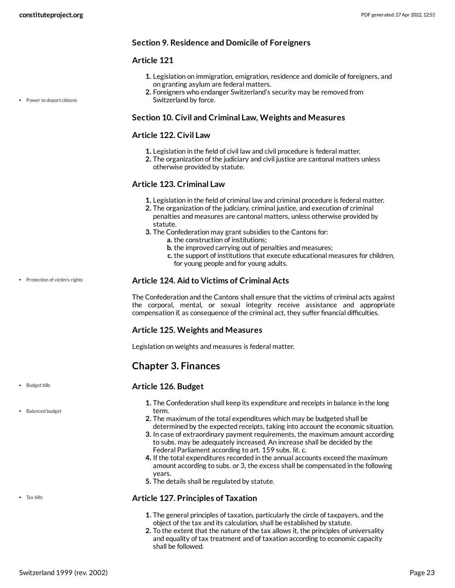## **Section 9. Residence and Domicile of Foreigners**

## <span id="page-22-2"></span>**Article 121**

- **1.** Legislation on immigration, emigration, residence and domicile of foreigners, and on granting asylum are federal matters.
- **2.** Foreigners who endanger Switzerland's security may be removed from Switzerland by force.

#### **Section 10. Civil and Criminal Law, Weights and Measures**

#### **Article 122. Civil Law**

- **1.** Legislation in the field of civil law and civil procedure is federal matter.
- **2.** The organization of the judiciary and civil justice are cantonal matters unless otherwise provided by statute.

#### **Article 123. Criminal Law**

- **1.** Legislation in the field of criminal law and criminal procedure is federal matter.
- **2.** The organization of the judiciary, criminal justice, and execution of criminal penalties and measures are cantonal matters, unless otherwise provided by statute.
- **3.** The Confederation may grant subsidies to the Cantons for:
	- **a.** the construction of institutions;
		- **b.** the improved carrying out of penalties and measures;
		- **c.** the support of institutions that execute educational measures for children, for young people and for young adults.

#### <span id="page-22-3"></span>**Article 124. Aid to Victims of Criminal Acts**

The Confederation and the Cantons shall ensure that the victims of criminal acts against the corporal, mental, or sexual integrity receive assistance and appropriate compensation if, as consequence of the criminal act, they suffer financial difficulties.

## **Article 125. Weights and Measures**

Legislation on weights and measures is federal matter.

## <span id="page-22-0"></span>**Chapter 3. Finances**

#### <span id="page-22-1"></span>**Article 126. Budget**

• Budget bills

Tax bills

• Balanced budget

• Protection of victim's rights

- **1.** The Confederation shall keep its expenditure and receipts in balance in the long term.
- **2.** The maximum of the total expenditures which may be budgeted shall be determined by the expected receipts, taking into account the economic situation.
- **3.** In case of extraordinary payment requirements, the maximum amount according to subs. may be adequately increased. An increase shall be decided by the Federal Parliament according to art. 159 subs. lit. c.
- **4.** If the total expenditures recorded in the annual accounts exceed the maximum amount according to subs. or 3, the excess shall be compensated in the following years.
- **5.** The details shall be regulated by statute.

## <span id="page-22-4"></span>**Article 127. Principles of Taxation**

- **1.** The general principles of taxation, particularly the circle of taxpayers, and the object of the tax and its calculation, shall be established by statute.
- **2.** To the extent that the nature of the tax allows it, the principles of universality and equality of tax treatment and of taxation according to economic capacity shall be followed.

Power to deport citizens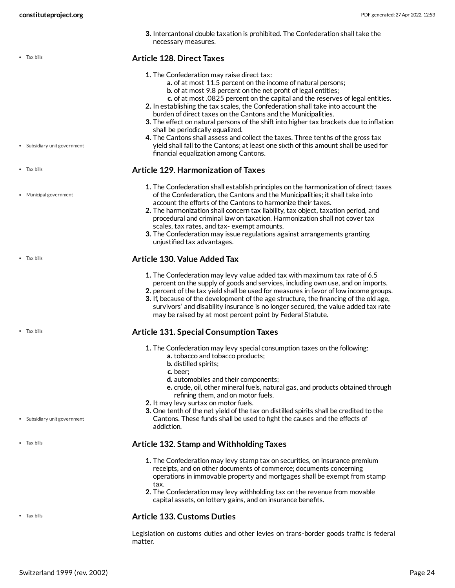Subsidiary unit government

Municipal government

Tax bills

Tax bills

• Tax bills

Tax bills

Subsidiary unit government

**3.** Intercantonal double taxation is prohibited. The Confederation shall take the necessary measures.

#### <span id="page-23-1"></span>**Article 128. Direct Taxes**

- **1.** The Confederation may raise direct tax:
	- **a.** of at most 11.5 percent on the income of natural persons;
	- **b.** of at most 9.8 percent on the net profit of legal entities;
	- **c.** of at most .0825 percent on the capital and the reserves of legal entities.
- **2.** In establishing the tax scales, the Confederation shall take into account the burden of direct taxes on the Cantons and the Municipalities.
- **3.** The effect on natural persons of the shift into higher tax brackets due to inflation shall be periodically equalized.
- **4.** The Cantons shall assess and collect the taxes. Three tenths of the gross tax yield shall fall to the Cantons; at least one sixth of this amount shall be used for financial equalization among Cantons.

#### <span id="page-23-0"></span>**Article 129. Harmonization of Taxes**

- **1.** The Confederation shall establish principles on the harmonization of direct taxes of the Confederation, the Cantons and the Municipalities; it shall take into account the efforts of the Cantons to harmonize their taxes.
- **2.** The harmonization shall concern tax liability, tax object, taxation period, and procedural and criminal law on taxation. Harmonization shall not cover tax scales, tax rates, and tax- exempt amounts.
- **3.** The Confederation may issue regulations against arrangements granting unjustified tax advantages.

#### **Article 130. Value Added Tax**

- **1.** The Confederation may levy value added tax with maximum tax rate of 6.5 percent on the supply of goods and services, including own use, and on imports.
- **2.** percent of the tax yield shall be used for measures in favor of low income groups.
- **3.** If, because of the development of the age structure, the financing of the old age, survivors' and disability insurance is no longer secured, the value added tax rate may be raised by at most percent point by Federal Statute.

#### **Article 131. Special Consumption Taxes**

- **1.** The Confederation may levy special consumption taxes on the following:
	- **a.** tobacco and tobacco products;
	- **b.** distilled spirits;
	- **c.** beer;
	- **d.** automobiles and their components;
	- **e.** crude, oil, other mineral fuels, natural gas, and products obtained through refining them, and on motor fuels.
- **2.** It may levy surtax on motor fuels.
- **3.** One tenth of the net yield of the tax on distilled spirits shall be credited to the Cantons. These funds shall be used to fight the causes and the effects of addiction.

#### **Article 132. Stamp and Withholding Taxes**

- **1.** The Confederation may levy stamp tax on securities, on insurance premium receipts, and on other documents of commerce; documents concerning operations in immovable property and mortgages shall be exempt from stamp tax.
- **2.** The Confederation may levy withholding tax on the revenue from movable capital assets, on lottery gains, and on insurance benefits.

#### • Tax bills

• Tax bills

**Article 133. Customs Duties**

Legislation on customs duties and other levies on trans-border goods traffic is federal matter.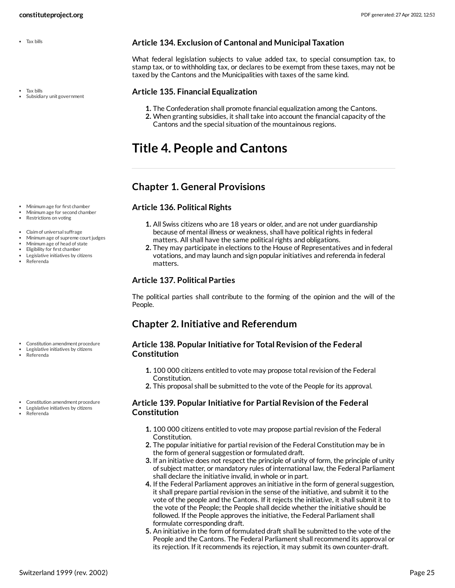• Tax bills

Tax bills Subsidiary unit government <span id="page-24-6"></span>**Article 134. Exclusion of Cantonal and Municipal Taxation**

What federal legislation subjects to value added tax, to special consumption tax, to stamp tax, or to withholding tax, or declares to be exempt from these taxes, may not be taxed by the Cantons and the Municipalities with taxes of the same kind.

#### <span id="page-24-5"></span>**Article 135. Financial Equalization**

- **1.** The Confederation shall promote financial equalization among the Cantons.
- **2.** When granting subsidies, it shall take into account the financial capacity of the Cantons and the special situation of the mountainous regions.

## <span id="page-24-0"></span>**Title 4. People and Cantons**

## <span id="page-24-1"></span>**Chapter 1. General Provisions**

## <span id="page-24-3"></span>**Article 136. Political Rights**

- **1.** All Swiss citizens who are 18 years or older, and are not under guardianship because of mental illness or weakness, shall have political rights in federal matters. All shall have the same political rights and obligations.
- **2.** They may participate in elections to the House of Representatives and in federal votations, and may launch and sign popular initiatives and referenda in federal matters.

## **Article 137. Political Parties**

The political parties shall contribute to the forming of the opinion and the will of the People.

## <span id="page-24-2"></span>**Chapter 2. Initiative and Referendum**

#### <span id="page-24-4"></span>**Article 138. Popular Initiative for Total Revision of the Federal Constitution**

- **1.** 100 000 citizens entitled to vote may propose total revision of the Federal Constitution.
- **2.** This proposal shall be submitted to the vote of the People for its approval.

#### **Article 139. Popular Initiative for Partial Revision of the Federal Constitution**

- **1.** 100 000 citizens entitled to vote may propose partial revision of the Federal Constitution.
- **2.** The popular initiative for partial revision of the Federal Constitution may be in the form of general suggestion or formulated draft.
- **3.** If an initiative does not respect the principle of unity of form, the principle of unity of subject matter, or mandatory rules of international law, the Federal Parliament shall declare the initiative invalid, in whole or in part.
- **4.** If the Federal Parliament approves an initiative in the form of general suggestion, it shall prepare partial revision in the sense of the initiative, and submit it to the vote of the people and the Cantons. If it rejects the initiative, it shall submit it to the vote of the People; the People shall decide whether the initiative should be followed. If the People approves the initiative, the Federal Parliament shall formulate corresponding draft.
- **5.** An initiative in the form of formulated draft shall be submitted to the vote of the People and the Cantons. The Federal Parliament shall recommend its approval or its rejection. If it recommends its rejection, it may submit its own counter-draft.

Minimum age for first chamber Minimum age for second chamber

• Restrictions on voting

- Claim of universal suffrage
- Minimum age of supreme court judges
- Minimum age of head of state Eligibility for first chamber
- Legislative initiatives by citizens
- Referenda

- Constitution amendment procedure
- Legislative initiatives by citizens
- Referenda
- Constitution amendment procedure
- Legislative initiatives by citizens
- Referenda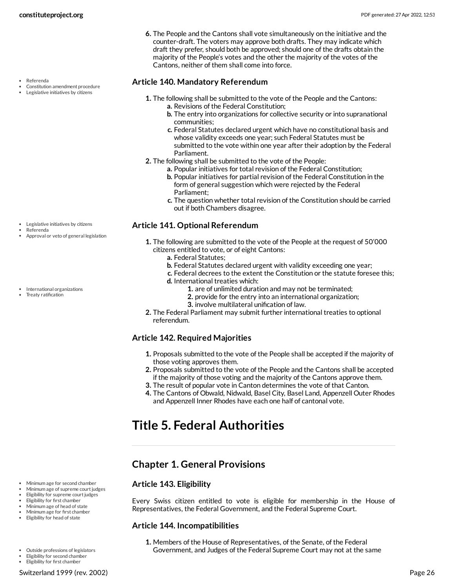- Constitution amendment procedure
- Legislative initiatives by citizens

- Legislative initiatives by citizens Referenda
- Approval or veto of general legislation
- International organizations Treaty ratification

**6.** The People and the Cantons shall vote simultaneously on the initiative and the counter-draft. The voters may approve both drafts. They may indicate which draft they prefer, should both be approved; should one of the drafts obtain the majority of the People's votes and the other the majority of the votes of the Cantons, neither of them shall come into force.

#### <span id="page-25-3"></span>**Article 140. Mandatory Referendum**

- **1.** The following shall be submitted to the vote of the People and the Cantons: **a.** Revisions of the Federal Constitution;
	- **b.** The entry into organizations for collective security or into supranational communities;
	- **c.** Federal Statutes declared urgent which have no constitutional basis and whose validity exceeds one year; such Federal Statutes must be submitted to the vote within one year after their adoption by the Federal Parliament.
- **2.** The following shall be submitted to the vote of the People:
	- **a.** Popular initiatives for total revision of the Federal Constitution;
	- **b.** Popular initiatives for partial revision of the Federal Constitution in the form of general suggestion which were rejected by the Federal Parliament;
	- **c.** The question whether total revision of the Constitution should be carried out if both Chambers disagree.

#### <span id="page-25-2"></span>**Article 141. Optional Referendum**

- **1.** The following are submitted to the vote of the People at the request of 50'000 citizens entitled to vote, or of eight Cantons:
	- **a.** Federal Statutes;
	- **b.** Federal Statutes declared urgent with validity exceeding one year;
	- **c.** Federal decrees to the extent the Constitution or the statute foresee this;
	- **d.** International treaties which:
		- **1.** are of unlimited duration and may not be terminated;
			- **2.** provide for the entry into an international organization;
		- **3.** involve multilateral unification of law.
- **2.** The Federal Parliament may submit further international treaties to optional referendum.

## **Article 142. Required Majorities**

- **1.** Proposals submitted to the vote of the People shall be accepted if the majority of those voting approves them.
- **2.** Proposals submitted to the vote of the People and the Cantons shall be accepted if the majority of those voting and the majority of the Cantons approve them.
- **3.** The result of popular vote in Canton determines the vote of that Canton.
- **4.** The Cantons of Obwald, Nidwald, Basel City, Basel Land, Appenzell Outer Rhodes and Appenzell Inner Rhodes have each one half of cantonal vote.

## <span id="page-25-0"></span>**Title 5. Federal Authorities**

## <span id="page-25-1"></span>**Chapter 1. General Provisions**

#### <span id="page-25-4"></span>**Article 143. Eligibility**

Every Swiss citizen entitled to vote is eligible for membership in the House of Representatives, the Federal Government, and the Federal Supreme Court.

#### <span id="page-25-5"></span>**Article 144. Incompatibilities**

**1.** Members of the House of Representatives, of the Senate, of the Federal Government, and Judges of the Federal Supreme Court may not at the same

Minimum age for second chamber Minimum age of supreme court judges Eligibility for supreme court judges Eligibility for first chamber Minimum age of head of state Minimum age for first chamber • Eligibility for head of state

Outside professions of legislators

Eligibility for second chamber Eligibility for first chamber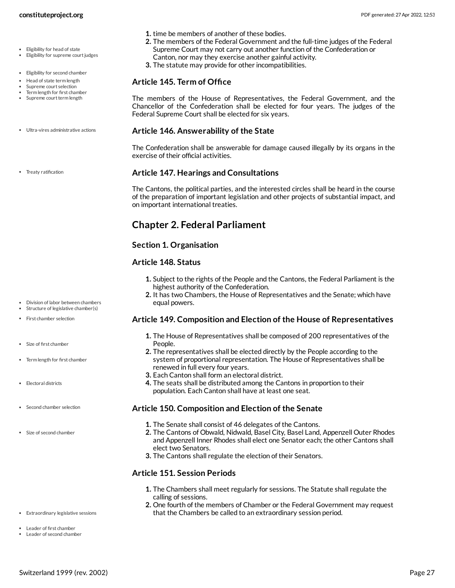- Eligibility for supreme court judges
- Eligibility for second chamber
- Head of state term length
- Supreme court selection Term length for first chamber
- Supreme court term length
- Ultra-vires administrative actions
- Treaty ratification

- Division of labor between chambers
- Structure of legislative chamber(s)
- First chamber selection
- Size of first chamber
- Term length for first chamber
- Electoral districts
- Second chamber selection
- Size of second chamber
- **1.** time be members of another of these bodies.
- **2.** The members of the Federal Government and the full-time judges of the Federal Supreme Court may not carry out another function of the Confederation or Canton, nor may they exercise another gainful activity.
- **3.** The statute may provide for other incompatibilities.

#### <span id="page-26-4"></span>**Article 145. Term of Office**

The members of the House of Representatives, the Federal Government, and the Chancellor of the Confederation shall be elected for four years. The judges of the Federal Supreme Court shall be elected for six years.

#### <span id="page-26-8"></span>**Article 146. Answerability of the State**

The Confederation shall be answerable for damage caused illegally by its organs in the exercise of their official activities.

#### <span id="page-26-7"></span>**Article 147. Hearings and Consultations**

The Cantons, the political parties, and the interested circles shall be heard in the course of the preparation of important legislation and other projects of substantial impact, and on important international treaties.

## <span id="page-26-0"></span>**Chapter 2. Federal Parliament**

#### **Section 1. Organisation**

#### <span id="page-26-1"></span>**Article 148. Status**

- **1.** Subject to the rights of the People and the Cantons, the Federal Parliament is the highest authority of the Confederation.
- **2.** It has two Chambers, the House of Representatives and the Senate; which have equal powers.

#### <span id="page-26-2"></span>**Article 149. Composition and Election of the House of Representatives**

- **1.** The House of Representatives shall be composed of 200 representatives of the People.
- **2.** The representatives shall be elected directly by the People according to the system of proportional representation. The House of Representatives shall be renewed in full every four years.
- **3.** Each Canton shall form an electoral district.
- **4.** The seats shall be distributed among the Cantons in proportion to their population. Each Canton shall have at least one seat.

#### <span id="page-26-6"></span>**Article 150. Composition and Election of the Senate**

- **1.** The Senate shall consist of 46 delegates of the Cantons.
- **2.** The Cantons of Obwald, Nidwald, Basel City, Basel Land, Appenzell Outer Rhodes and Appenzell Inner Rhodes shall elect one Senator each; the other Cantons shall elect two Senators.
- **3.** The Cantons shall regulate the election of their Senators.

#### <span id="page-26-3"></span>**Article 151. Session Periods**

- **1.** The Chambers shall meet regularly for sessions. The Statute shall regulate the calling of sessions.
- <span id="page-26-5"></span>**2.** One fourth of the members of Chamber or the Federal Government may request that the Chambers be called to an extraordinary session period.
- Extraordinary legislative sessions
- Leader of first chamber Leader of second chamber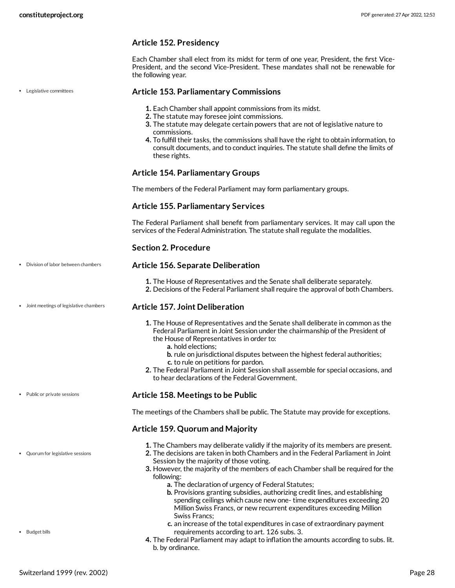#### **Article 152. Presidency**

Each Chamber shall elect from its midst for term of one year, President, the first Vice-President, and the second Vice-President. These mandates shall not be renewable for the following year.

#### <span id="page-27-3"></span>**Article 153. Parliamentary Commissions**

- **1.** Each Chamber shall appoint commissions from its midst.
- **2.** The statute may foresee joint commissions.
- **3.** The statute may delegate certain powers that are not of legislative nature to commissions.
- **4.** To fulfill their tasks, the commissions shall have the right to obtain information, to consult documents, and to conduct inquiries. The statute shall define the limits of these rights.

#### **Article 154. Parliamentary Groups**

The members of the Federal Parliament may form parliamentary groups.

#### **Article 155. Parliamentary Services**

The Federal Parliament shall benefit from parliamentary services. It may call upon the services of the Federal Administration. The statute shall regulate the modalities.

#### <span id="page-27-1"></span>**Section 2. Procedure**

#### **Article 156. Separate Deliberation**

**1.** The House of Representatives and the Senate shall deliberate separately.

**2.** Decisions of the Federal Parliament shall require the approval of both Chambers.

#### <span id="page-27-2"></span>**Article 157. Joint Deliberation**

- **1.** The House of Representatives and the Senate shall deliberate in common as the Federal Parliament in Joint Session under the chairmanship of the President of the House of Representatives in order to:
	- **a.** hold elections;
	- **b.** rule on jurisdictional disputes between the highest federal authorities;
	- **c.** to rule on petitions for pardon.
- **2.** The Federal Parliament in Joint Session shall assemble for special occasions, and to hear declarations of the Federal Government.

#### <span id="page-27-4"></span>**Article 158. Meetings to be Public**

The meetings of the Chambers shall be public. The Statute may provide for exceptions.

#### <span id="page-27-0"></span>**Article 159. Quorum and Majority**

- **1.** The Chambers may deliberate validly if the majority of its members are present.
- **2.** The decisions are taken in both Chambers and in the Federal Parliament in Joint Session by the majority of those voting.
- **3.** However, the majority of the members of each Chamber shall be required for the following:
	- **a.** The declaration of urgency of Federal Statutes;
	- **b.** Provisions granting subsidies, authorizing credit lines, and establishing spending ceilings which cause new one- time expenditures exceeding 20 Million Swiss Francs, or new recurrent expenditures exceeding Million Swiss Francs;
	- **c.** an increase of the total expenditures in case of extraordinary payment requirements according to art. 126 subs. 3.
- **4.** The Federal Parliament may adapt to inflation the amounts according to subs. lit. b. by ordinance.

Legislative committees

• Public or private sessions

Division of labor between chambers

Joint meetings of legislative chambers

Quorum for legislative sessions

• Budget bills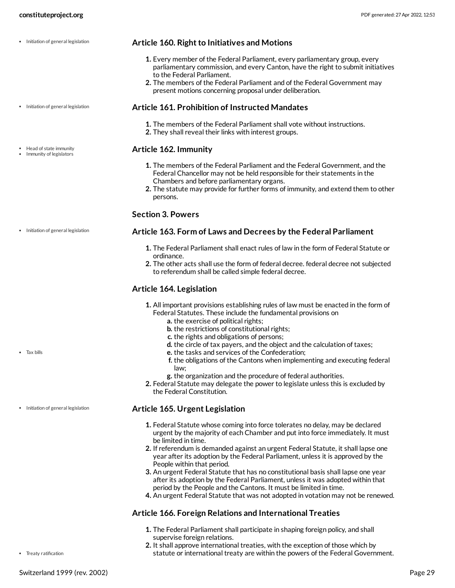- Initiation of general legislation
- Initiation of general legislation
- Head of state immunity • Immunity of legislators

#### <span id="page-28-1"></span>**Article 160. Right to Initiatives and Motions**

- **1.** Every member of the Federal Parliament, every parliamentary group, every parliamentary commission, and every Canton, have the right to submit initiatives to the Federal Parliament.
- **2.** The members of the Federal Parliament and of the Federal Government may present motions concerning proposal under deliberation.

#### **Article 161. Prohibition of Instructed Mandates**

- **1.** The members of the Federal Parliament shall vote without instructions.
- **2.** They shall reveal their links with interest groups.

#### <span id="page-28-0"></span>**Article 162. Immunity**

- **1.** The members of the Federal Parliament and the Federal Government, and the Federal Chancellor may not be held responsible for their statements in the Chambers and before parliamentary organs.
- **2.** The statute may provide for further forms of immunity, and extend them to other persons.

#### **Section 3. Powers**

#### **Article 163. Form of Laws and Decrees by the Federal Parliament**

- **1.** The Federal Parliament shall enact rules of law in the form of Federal Statute or ordinance.
- **2.** The other acts shall use the form of federal decree. federal decree not subjected to referendum shall be called simple federal decree.

#### <span id="page-28-2"></span>**Article 164. Legislation**

- **1.** All important provisions establishing rules of law must be enacted in the form of Federal Statutes. These include the fundamental provisions on
	- **a.** the exercise of political rights;
	- **b.** the restrictions of constitutional rights;
	- **c.** the rights and obligations of persons;
	- **d.** the circle of tax payers, and the object and the calculation of taxes;
	- **e.** the tasks and services of the Confederation;
	- **f.** the obligations of the Cantons when implementing and executing federal law;
	- **g.** the organization and the procedure of federal authorities.
- **2.** Federal Statute may delegate the power to legislate unless this is excluded by the Federal Constitution.

#### **Article 165. Urgent Legislation**

- **1.** Federal Statute whose coming into force tolerates no delay, may be declared urgent by the majority of each Chamber and put into force immediately. It must be limited in time.
- **2.** If referendum is demanded against an urgent Federal Statute, it shall lapse one year after its adoption by the Federal Parliament, unless it is approved by the People within that period.
- **3.** An urgent Federal Statute that has no constitutional basis shall lapse one year after its adoption by the Federal Parliament, unless it was adopted within that period by the People and the Cantons. It must be limited in time.
- **4.** An urgent Federal Statute that was not adopted in votation may not be renewed.

#### <span id="page-28-3"></span>**Article 166. Foreign Relations and International Treaties**

- **1.** The Federal Parliament shall participate in shaping foreign policy, and shall supervise foreign relations.
- **2.** It shall approve international treaties, with the exception of those which by statute or international treaty are within the powers of the Federal Government.

• Initiation of general legislation

• Tax bills

#### • Initiation of general legislation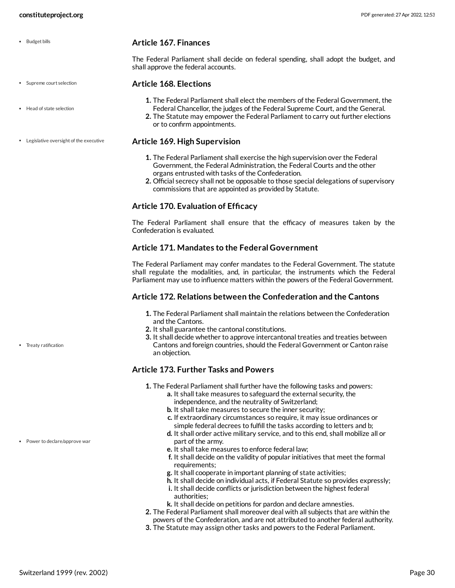Supreme court selection

• Head of state selection

Legislative oversight of the executive

• Budget bills

<span id="page-29-0"></span>**Article 167. Finances**

The Federal Parliament shall decide on federal spending, shall adopt the budget, and shall approve the federal accounts.

#### <span id="page-29-1"></span>**Article 168. Elections**

- **1.** The Federal Parliament shall elect the members of the Federal Government, the
- Federal Chancellor, the judges of the Federal Supreme Court, and the General.
- **2.** The Statute may empower the Federal Parliament to carry out further elections or to confirm appointments.

#### <span id="page-29-2"></span>**Article 169. High Supervision**

- **1.** The Federal Parliament shall exercise the high supervision over the Federal Government, the Federal Administration, the Federal Courts and the other organs entrusted with tasks of the Confederation.
- **2.** Official secrecy shall not be opposable to those special delegations of supervisory commissions that are appointed as provided by Statute.

#### **Article 170. Evaluation of Efficacy**

The Federal Parliament shall ensure that the efficacy of measures taken by the Confederation is evaluated.

#### **Article 171. Mandates to the Federal Government**

The Federal Parliament may confer mandates to the Federal Government. The statute shall regulate the modalities, and, in particular, the instruments which the Federal Parliament may use to influence matters within the powers of the Federal Government.

#### <span id="page-29-4"></span>**Article 172. Relations between the Confederation and the Cantons**

- **1.** The Federal Parliament shall maintain the relations between the Confederation and the Cantons.
- **2.** It shall guarantee the cantonal constitutions.
- **3.** It shall decide whether to approve intercantonal treaties and treaties between Cantons and foreign countries, should the Federal Government or Canton raise an objection.

#### <span id="page-29-3"></span>**Article 173. Further Tasks and Powers**

- **1.** The Federal Parliament shall further have the following tasks and powers:
	- **a.** It shall take measures to safeguard the external security, the independence, and the neutrality of Switzerland;
	- **b.** It shall take measures to secure the inner security;
	- **c.** If extraordinary circumstances so require, it may issue ordinances or simple federal decrees to fulfill the tasks according to letters and b;
	- **d.** It shall order active military service, and to this end, shall mobilize all or part of the army.
	- **e.** It shall take measures to enforce federal law;
	- **f.** It shall decide on the validity of popular initiatives that meet the formal requirements;
	- **g.** It shall cooperate in important planning of state activities;
	- **h.** It shall decide on individual acts, if Federal Statute so provides expressly;
	- **i.** It shall decide conflicts or jurisdiction between the highest federal authorities;
	- **k.** It shall decide on petitions for pardon and declare amnesties.
- **2.** The Federal Parliament shall moreover deal with all subjects that are within the powers of the Confederation, and are not attributed to another federal authority.
- **3.** The Statute may assign other tasks and powers to the Federal Parliament.

• Treaty ratification

Power to declare/approve war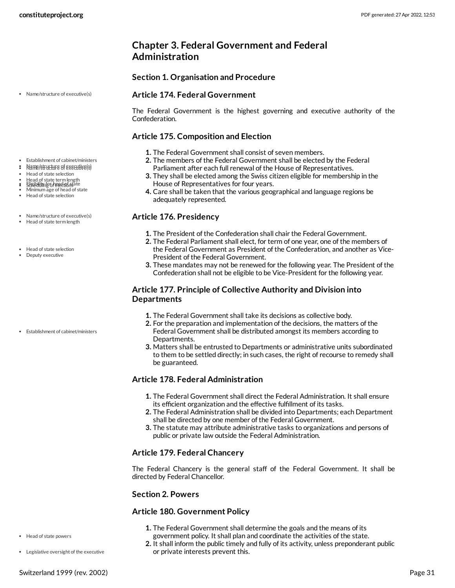## <span id="page-30-0"></span>**Chapter 3. Federal Government and Federal Administration**

#### **Section 1. Organisation and Procedure**

#### <span id="page-30-4"></span>**Article 174. Federal Government**

The Federal Government is the highest governing and executive authority of the Confederation.

#### <span id="page-30-2"></span>**Article 175. Composition and Election**

- **1.** The Federal Government shall consist of seven members.
- **2.** The members of the Federal Government shall be elected by the Federal Parliament after each full renewal of the House of Representatives.
- **3.** They shall be elected among the Swiss citizen eligible for membership in the House of Representatives for four years.
- **4.** Care shall be taken that the various geographical and language regions be adequately represented.

#### <span id="page-30-1"></span>**Article 176. Presidency**

- **1.** The President of the Confederation shall chair the Federal Government.
- **2.** The Federal Parliament shall elect, for term of one year, one of the members of the Federal Government as President of the Confederation, and another as Vice-President of the Federal Government.
- **3.** These mandates may not be renewed for the following year. The President of the Confederation shall not be eligible to be Vice-President for the following year.

#### **Article 177. Principle of Collective Authority and Division into Departments**

- **1.** The Federal Government shall take its decisions as collective body.
- **2.** For the preparation and implementation of the decisions, the matters of the Federal Government shall be distributed amongst its members according to Departments.
- **3.** Matters shall be entrusted to Departments or administrative units subordinated to them to be settled directly; in such cases, the right of recourse to remedy shall be guaranteed.

## **Article 178. Federal Administration**

- **1.** The Federal Government shall direct the Federal Administration. It shall ensure its efficient organization and the effective fulfillment of its tasks.
- **2.** The Federal Administration shall be divided into Departments; each Department shall be directed by one member of the Federal Government.
- **3.** The statute may attribute administrative tasks to organizations and persons of public or private law outside the Federal Administration.

## **Article 179. Federal Chancery**

The Federal Chancery is the general staff of the Federal Government. It shall be directed by Federal Chancellor.

#### **Section 2. Powers**

#### <span id="page-30-3"></span>**Article 180. Government Policy**

- **1.** The Federal Government shall determine the goals and the means of its government policy. It shall plan and coordinate the activities of the state.
- **2.** It shall inform the public timely and fully of its activity, unless preponderant public or private interests prevent this.

Name/structure of executive(s)

- Establishment of cabinet/ministers
- $\approx$  Name/structure of executive(s)
- Head of state selection
- Head of state term length s Eligibility for head of state
- Minimum age of head of state
- Head of state selection
- Name/structure of executive(s)
- Head of state term length
- Head of state selection
- Deputy executive

Establishment of cabinet/ministers

Legislative oversight of the executive

Head of state powers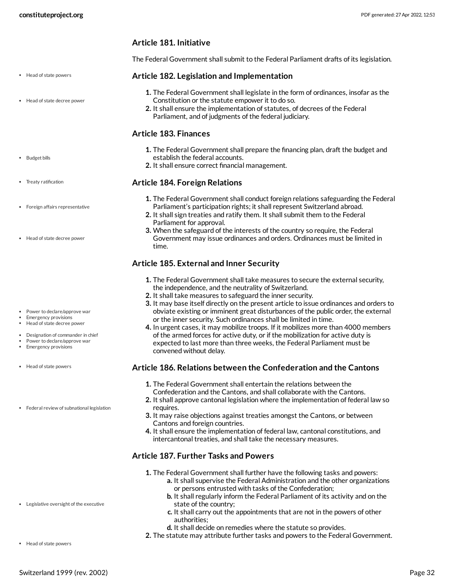#### **Article 181. Initiative**

The Federal Government shall submit to the Federal Parliament drafts of its legislation.

#### <span id="page-31-4"></span>**Article 182. Legislation and Implementation**

- **1.** The Federal Government shall legislate in the form of ordinances, insofar as the Constitution or the statute empower it to do so.
- **2.** It shall ensure the implementation of statutes, of decrees of the Federal Parliament, and of judgments of the federal judiciary.

#### <span id="page-31-0"></span>**Article 183. Finances**

- **1.** The Federal Government shall prepare the financing plan, draft the budget and establish the federal accounts.
- **2.** It shall ensure correct financial management.

#### <span id="page-31-3"></span>**Article 184. Foreign Relations**

- **1.** The Federal Government shall conduct foreign relations safeguarding the Federal Parliament's participation rights; it shall represent Switzerland abroad.
- **2.** It shall sign treaties and ratify them. It shall submit them to the Federal Parliament for approval.
- **3.** When the safeguard of the interests of the country so require, the Federal Government may issue ordinances and orders. Ordinances must be limited in time.

#### <span id="page-31-1"></span>**Article 185. External and Inner Security**

- **1.** The Federal Government shall take measures to secure the external security, the independence, and the neutrality of Switzerland.
- **2.** It shall take measures to safeguard the inner security.
- **3.** It may base itself directly on the present article to issue ordinances and orders to obviate existing or imminent great disturbances of the public order, the external or the inner security. Such ordinances shall be limited in time.
- **4.** In urgent cases, it may mobilize troops. If it mobilizes more than 4000 members of the armed forces for active duty, or if the mobilization for active duty is expected to last more than three weeks, the Federal Parliament must be convened without delay.

#### <span id="page-31-2"></span>**Article 186. Relations between the Confederation and the Cantons**

- **1.** The Federal Government shall entertain the relations between the
- Confederation and the Cantons, and shall collaborate with the Cantons.
- **2.** It shall approve cantonal legislation where the implementation of federal law so requires.
- **3.** It may raise objections against treaties amongst the Cantons, or between Cantons and foreign countries.
- **4.** It shall ensure the implementation of federal law, cantonal constitutions, and intercantonal treaties, and shall take the necessary measures.

#### <span id="page-31-5"></span>**Article 187. Further Tasks and Powers**

- **1.** The Federal Government shall further have the following tasks and powers:
	- **a.** It shall supervise the Federal Administration and the other organizations or persons entrusted with tasks of the Confederation;
	- **b.** It shall regularly inform the Federal Parliament of its activity and on the state of the country;
	- **c.** It shall carry out the appointments that are not in the powers of other authorities;
	- **d.** It shall decide on remedies where the statute so provides.
- **2.** The statute may attribute further tasks and powers to the Federal Government.
- Head of state powers
- Head of state decree power
- Budget bills
- Treaty ratification
- Foreign affairs representative
- Head of state decree power

- Power to declare/approve war
- Emergency provisions Head of state decree power
- Designation of commander in chief  $\bullet$
- Power to declare/approve war
- Emergency provisions
- Head of state powers
- Federal review of subnational legislation

- Legislative oversight of the executive
- Head of state powers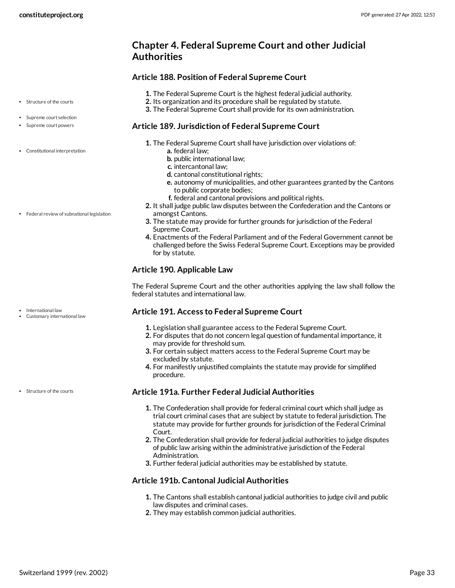## <span id="page-32-0"></span>**Chapter 4. Federal Supreme Court and other Judicial Authorities**

#### <span id="page-32-3"></span>**Article 188. Position of Federal Supreme Court**

- **1.** The Federal Supreme Court is the highest federal judicial authority.
- **2.** Its organization and its procedure shall be regulated by statute.
- **3.** The Federal Supreme Court shall provide for its own administration.

#### <span id="page-32-1"></span>**Article 189. Jurisdiction of Federal Supreme Court**

- **1.** The Federal Supreme Court shall have jurisdiction over violations of:
	- **a.** federal law;
	- **b.** public international law;
	- **c.** intercantonal law;
	- **d.** cantonal constitutional rights;
	- **e.** autonomy of municipalities, and other guarantees granted by the Cantons to public corporate bodies;
	- **f.** federal and cantonal provisions and political rights.
- **2.** It shall judge public law disputes between the Confederation and the Cantons or amongst Cantons.
- **3.** The statute may provide for further grounds for jurisdiction of the Federal Supreme Court.
- **4.** Enactments of the Federal Parliament and of the Federal Government cannot be challenged before the Swiss Federal Supreme Court. Exceptions may be provided for by statute.

## **Article 190. Applicable Law**

The Federal Supreme Court and the other authorities applying the law shall follow the federal statutes and international law.

## <span id="page-32-2"></span>**Article 191. Access to Federal Supreme Court**

- **1.** Legislation shall guarantee access to the Federal Supreme Court.
- **2.** For disputes that do not concern legal question of fundamental importance, it may provide for threshold sum.
- **3.** For certain subject matters access to the Federal Supreme Court may be excluded by statute.
- **4.** For manifestly unjustified complaints the statute may provide for simplified procedure.

#### **Article 191a. Further Federal Judicial Authorities**

- **1.** The Confederation shall provide for federal criminal court which shall judge as trial court criminal cases that are subject by statute to federal jurisdiction. The statute may provide for further grounds for jurisdiction of the Federal Criminal Court.
- **2.** The Confederation shall provide for federal judicial authorities to judge disputes of public law arising within the administrative jurisdiction of the Federal Administration.
- **3.** Further federal judicial authorities may be established by statute.

## **Article 191b. Cantonal Judicial Authorities**

- **1.** The Cantons shall establish cantonal judicial authorities to judge civil and public law disputes and criminal cases.
- **2.** They may establish common judicial authorities.
- Structure of the courts
- Supreme court selection
- Supreme court powers
- Constitutional interpretation

• Federal review of subnational legislation

International law Customary international law

Structure of the courts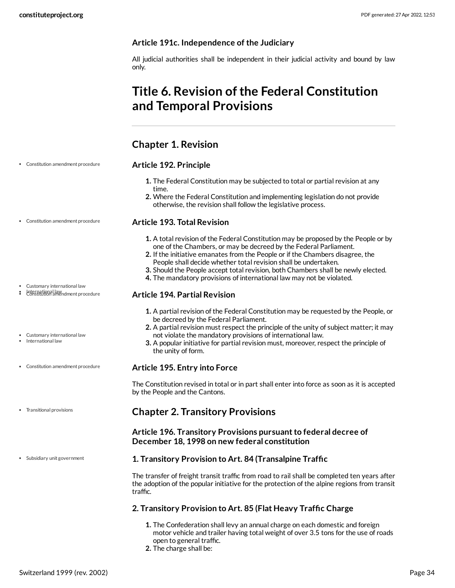#### **Article 191c. Independence of the Judiciary**

All judicial authorities shall be independent in their judicial activity and bound by law only.

## <span id="page-33-0"></span>**Title 6. Revision ofthe Federal Constitution and Temporal Provisions**

## <span id="page-33-1"></span>**Chapter 1. Revision**

#### Constitution amendment procedure

#### <span id="page-33-3"></span>**Article 192. Principle**

- **1.** The Federal Constitution may be subjected to total or partial revision at any time.
- **2.** Where the Federal Constitution and implementing legislation do not provide otherwise, the revision shall follow the legislative process.

#### <span id="page-33-4"></span>**Article 193. Total Revision**

- **1.** A total revision of the Federal Constitution may be proposed by the People or by one of the Chambers, or may be decreed by the Federal Parliament.
- **2.** If the initiative emanates from the People or if the Chambers disagree, the People shall decide whether total revision shall be undertaken.
- **3.** Should the People accept total revision, both Chambers shall be newly elected.
- **4.** The mandatory provisions of international law may not be violated.

#### **Article 194. Partial Revision**

- **1.** A partial revision of the Federal Constitution may be requested by the People, or be decreed by the Federal Parliament.
- **2.** A partial revision must respect the principle of the unity of subject matter; it may not violate the mandatory provisions of international law.
- **3.** A popular initiative for partial revision must, moreover, respect the principle of the unity of form.

#### **Article 195. Entry into Force**

The Constitution revised in total or in part shall enter into force as soon as it is accepted by the People and the Cantons.

## <span id="page-33-2"></span>**Chapter 2. Transitory Provisions**

#### **Article 196. Transitory Provisions pursuantto federal decree of December 18, 1998 on new federal constitution**

#### <span id="page-33-5"></span>**1. Transitory Provision to Art. 84 (Transalpine Traffic**

The transfer of freight transit traffic from road to rail shall be completed ten years after the adoption of the popular initiative for the protection of the alpine regions from transit traffic.

#### **2. Transitory Provision to Art. 85 (Flat Heavy Traffic Charge**

- **1.** The Confederation shall levy an annual charge on each domestic and foreign motor vehicle and trailer having total weight of over 3.5 tons for the use of roads open to general traffic.
- **2.** The charge shall be:

## Customary international law

International law Constitution amendment procedure

Constitution amendment procedure

- Customary international law
- International law
- Constitution amendment procedure
- Transitional provisions
- Subsidiary unit government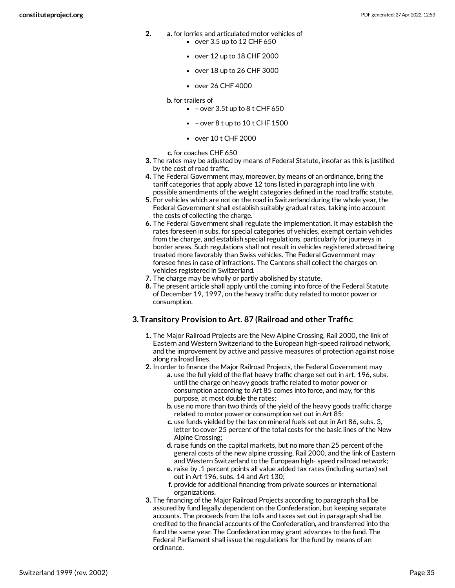- **2. a.** for lorries and articulated motor vehicles of  $\bullet$  over 3.5 up to 12 CHF 650
	- over 12 up to 18 CHF 2000
	- over 18 up to 26 CHF 3000
	- over 26 CHF 4000
	- **b.** for trailers of
		- $-$  over 3.5t up to 8 t CHF 650
		- $\bullet$  over 8 t up to 10 t CHF 1500
		- over 10 t CHF 2000
	- **c.** for coaches CHF 650
- **3.** The rates may be adjusted by means of Federal Statute, insofar as this is justified by the cost of road traffic.
- **4.** The Federal Government may, moreover, by means of an ordinance, bring the tariff categories that apply above 12 tons listed in paragraph into line with possible amendments of the weight categories defined in the road traffic statute.
- **5.** For vehicles which are not on the road in Switzerland during the whole year, the Federal Government shall establish suitably gradual rates, taking into account the costs of collecting the charge.
- **6.** The Federal Government shall regulate the implementation. It may establish the rates foreseen in subs. for special categories of vehicles, exempt certain vehicles from the charge, and establish special regulations, particularly for journeys in border areas. Such regulations shall not result in vehicles registered abroad being treated more favorably than Swiss vehicles. The Federal Government may foresee fines in case of infractions. The Cantons shall collect the charges on vehicles registered in Switzerland.
- **7.** The charge may be wholly or partly abolished by statute.
- **8.** The present article shall apply until the coming into force of the Federal Statute of December 19, 1997, on the heavy traffic duty related to motor power or consumption.

#### **3. Transitory Provision to Art. 87 (Railroad and other Traffic**

- **1.** The Major Railroad Projects are the New Alpine Crossing, Rail 2000, the link of Eastern and Western Switzerland to the European high-speed railroad network, and the improvement by active and passive measures of protection against noise along railroad lines.
- **2.** In order to finance the Major Railroad Projects, the Federal Government may
	- **a.** use the full yield of the flat heavy traffic charge set out in art. 196, subs. until the charge on heavy goods traffic related to motor power or consumption according to Art 85 comes into force, and may, for this purpose, at most double the rates;
		- **b.** use no more than two thirds of the yield of the heavy goods traffic charge related to motor power or consumption set out in Art 85;
		- **c.** use funds yielded by the tax on mineral fuels set out in Art 86, subs. 3, letter to cover 25 percent of the total costs for the basic lines of the New Alpine Crossing;
		- **d.** raise funds on the capital markets, but no more than 25 percent of the general costs of the new alpine crossing, Rail 2000, and the link of Eastern and Western Switzerland to the European high- speed railroad network;
		- **e.** raise by .1 percent points all value added tax rates (including surtax) set out in Art 196, subs. 14 and Art 130;
		- **f.** provide for additional financing from private sources or international organizations.
- **3.** The financing of the Major Railroad Projects according to paragraph shall be assured by fund legally dependent on the Confederation, but keeping separate accounts. The proceeds from the tolls and taxes set out in paragraph shall be credited to the financial accounts of the Confederation, and transferred into the fund the same year. The Confederation may grant advances to the fund. The Federal Parliament shall issue the regulations for the fund by means of an ordinance.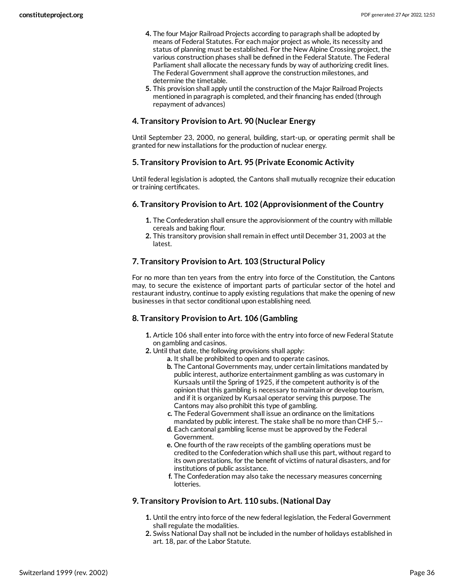- **4.** The four Major Railroad Projects according to paragraph shall be adopted by means of Federal Statutes. For each major project as whole, its necessity and status of planning must be established. For the New Alpine Crossing project, the various construction phases shall be defined in the Federal Statute. The Federal Parliament shall allocate the necessary funds by way of authorizing credit lines. The Federal Government shall approve the construction milestones, and determine the timetable.
- **5.** This provision shall apply until the construction of the Major Railroad Projects mentioned in paragraph is completed, and their financing has ended (through repayment of advances)

#### **4. Transitory Provision to Art. 90 (Nuclear Energy**

Until September 23, 2000, no general, building, start-up, or operating permit shall be granted for new installations for the production of nuclear energy.

#### **5. Transitory Provision to Art. 95 (Private Economic Activity**

Until federal legislation is adopted, the Cantons shall mutually recognize their education or training certificates.

#### **6. Transitory Provision to Art. 102 (Approvisionment of the Country**

- **1.** The Confederation shall ensure the approvisionment of the country with millable cereals and baking flour.
- **2.** This transitory provision shall remain in effect until December 31, 2003 at the latest.

## **7. Transitory Provision to Art. 103 (Structural Policy**

For no more than ten years from the entry into force of the Constitution, the Cantons may, to secure the existence of important parts of particular sector of the hotel and restaurant industry, continue to apply existing regulations that make the opening of new businesses in that sector conditional upon establishing need.

#### **8. Transitory Provision to Art. 106 (Gambling**

- **1.** Article 106 shall enter into force with the entry into force of new Federal Statute on gambling and casinos.
- **2.** Until that date, the following provisions shall apply:
	- **a.** It shall be prohibited to open and to operate casinos.
		- **b.** The Cantonal Governments may, under certain limitations mandated by public interest, authorize entertainment gambling as was customary in Kursaals until the Spring of 1925, if the competent authority is of the opinion that this gambling is necessary to maintain or develop tourism, and if it is organized by Kursaal operator serving this purpose. The Cantons may also prohibit this type of gambling.
		- **c.** The Federal Government shall issue an ordinance on the limitations mandated by public interest. The stake shall be no more than CHF 5.--
		- **d.** Each cantonal gambling license must be approved by the Federal Government.
		- **e.** One fourth of the raw receipts of the gambling operations must be credited to the Confederation which shall use this part, without regard to its own prestations, for the benefit of victims of natural disasters, and for institutions of public assistance.
		- **f.** The Confederation may also take the necessary measures concerning lotteries.

#### **9. Transitory Provision to Art. 110 subs. (National Day**

- **1.** Until the entry into force of the new federal legislation, the Federal Government shall regulate the modalities.
- **2.** Swiss National Day shall not be included in the number of holidays established in art. 18, par. of the Labor Statute.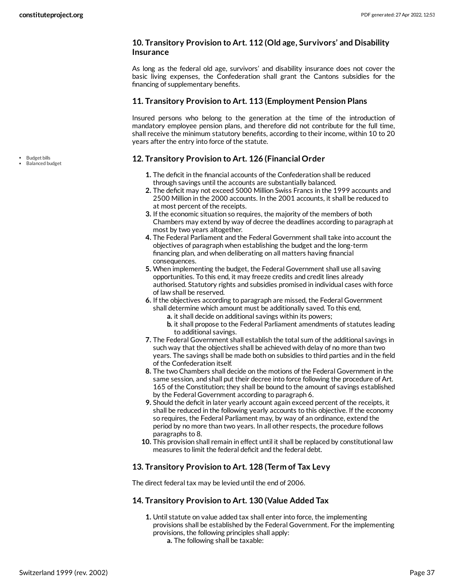#### **10. Transitory Provision to Art. 112 (Old age, Survivors' and Disability Insurance**

As long as the federal old age, survivors' and disability insurance does not cover the basic living expenses, the Confederation shall grant the Cantons subsidies for the financing of supplementary benefits.

#### **11. Transitory Provision to Art. 113 (Employment Pension Plans**

Insured persons who belong to the generation at the time of the introduction of mandatory employee pension plans, and therefore did not contribute for the full time, shall receive the minimum statutory benefits, according to their income, within 10 to 20 years after the entry into force of the statute.

## <span id="page-36-0"></span>**12. Transitory Provision to Art. 126 (Financial Order**

- **1.** The deficit in the financial accounts of the Confederation shall be reduced through savings until the accounts are substantially balanced.
- **2.** The deficit may not exceed 5000 Million Swiss Francs in the 1999 accounts and 2500 Million in the 2000 accounts. In the 2001 accounts, it shall be reduced to at most percent of the receipts.
- **3.** If the economic situation so requires, the majority of the members of both Chambers may extend by way of decree the deadlines according to paragraph at most by two years altogether.
- **4.** The Federal Parliament and the Federal Government shall take into account the objectives of paragraph when establishing the budget and the long-term financing plan, and when deliberating on all matters having financial consequences.
- **5.** When implementing the budget, the Federal Government shall use all saving opportunities. To this end, it may freeze credits and credit lines already authorised. Statutory rights and subsidies promised in individual cases with force of law shall be reserved.
- **6.** If the objectives according to paragraph are missed, the Federal Government shall determine which amount must be additionally saved. To this end,
	- **a.** it shall decide on additional savings within its powers;
	- **b.** it shall propose to the Federal Parliament amendments of statutes leading to additional savings.
- **7.** The Federal Government shall establish the total sum of the additional savings in such way that the objectives shall be achieved with delay of no more than two years. The savings shall be made both on subsidies to third parties and in the field of the Confederation itself.
- **8.** The two Chambers shall decide on the motions of the Federal Government in the same session, and shall put their decree into force following the procedure of Art. 165 of the Constitution; they shall be bound to the amount of savings established by the Federal Government according to paragraph 6.
- **9.** Should the deficit in later yearly account again exceed percent of the receipts, it shall be reduced in the following yearly accounts to this objective. If the economy so requires, the Federal Parliament may, by way of an ordinance, extend the period by no more than two years. In all other respects, the procedure follows paragraphs to 8.
- **10.** This provision shall remain in effect until it shall be replaced by constitutional law measures to limit the federal deficit and the federal debt.

## **13. Transitory Provision to Art. 128 (Term of Tax Levy**

The direct federal tax may be levied until the end of 2006.

## **14. Transitory Provision to Art. 130 (Value Added Tax**

- **1.** Until statute on value added tax shall enter into force, the implementing provisions shall be established by the Federal Government. For the implementing provisions, the following principles shall apply:
	- **a.** The following shall be taxable:

• Budget bills Balanced budget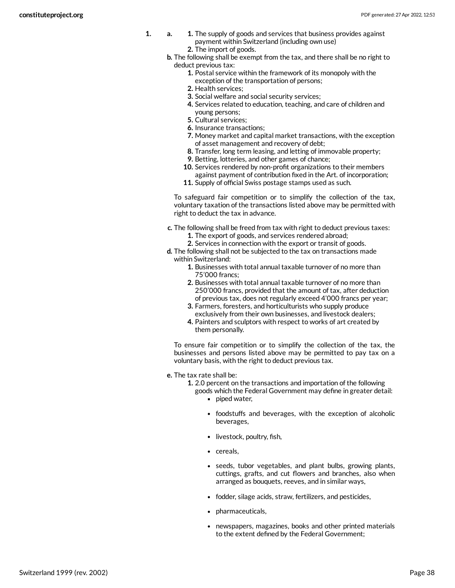- **1. a. 1.** The supply of goods and services that business provides against payment within Switzerland (including own use) **2.** The import of goods.
	- **b.** The following shall be exempt from the tax, and there shall be no right to deduct previous tax:
		- **1.** Postal service within the framework of its monopoly with the exception of the transportation of persons;
		- **2.** Health services;
		- **3.** Social welfare and social security services;
		- **4.** Services related to education, teaching, and care of children and young persons;
		- **5.** Cultural services;
		- **6.** Insurance transactions;
		- **7.** Money market and capital market transactions, with the exception of asset management and recovery of debt;
		- **8.** Transfer, long term leasing, and letting of immovable property;
		- **9.** Betting, lotteries, and other games of chance;
		- **10.** Services rendered by non-profit organizations to their members against payment of contribution fixed in the Art. of incorporation;
		- **11.** Supply of official Swiss postage stamps used as such.

To safeguard fair competition or to simplify the collection of the tax, voluntary taxation of the transactions listed above may be permitted with right to deduct the tax in advance.

- **c.** The following shall be freed from tax with right to deduct previous taxes: **1.** The export of goods, and services rendered abroad;
	- **2.** Services in connection with the export or transit of goods.
- **d.** The following shall not be subjected to the tax on transactions made within Switzerland:
	- **1.** Businesses with total annual taxable turnover of no more than 75'000 francs;
	- **2.** Businesses with total annual taxable turnover of no more than 250'000 francs, provided that the amount of tax, after deduction of previous tax, does not regularly exceed 4'000 francs per year;
	- **3.** Farmers, foresters, and horticulturists who supply produce exclusively from their own businesses, and livestock dealers;
	- **4.** Painters and sculptors with respect to works of art created by them personally.

To ensure fair competition or to simplify the collection of the tax, the businesses and persons listed above may be permitted to pay tax on a voluntary basis, with the right to deduct previous tax.

**e.** The tax rate shall be:

**1.** 2.0 percent on the transactions and importation of the following goods which the Federal Government may define in greater detail:

- piped water,
- foodstuffs and beverages, with the exception of alcoholic beverages,
- livestock, poultry, fish,
- cereals,
- seeds, tubor vegetables, and plant bulbs, growing plants, cuttings, grafts, and cut flowers and branches, also when arranged as bouquets, reeves, and in similar ways,
- fodder, silage acids, straw, fertilizers, and pesticides,
- pharmaceuticals,
- newspapers, magazines, books and other printed materials to the extent defined by the Federal Government;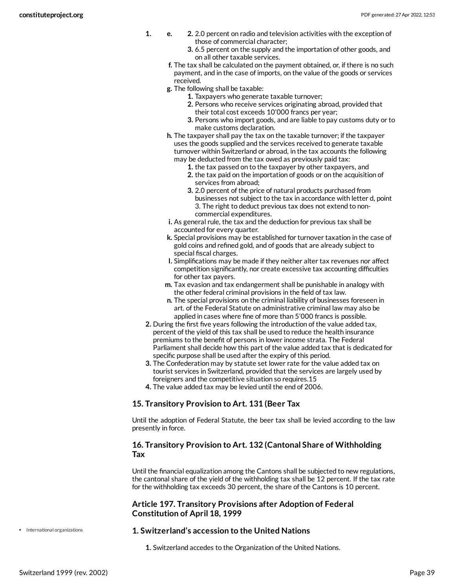- **1. e. 2.** 2.0 percent on radio and television activities with the exception of those of commercial character;
	- **3.** 6.5 percent on the supply and the importation of other goods, and on all other taxable services.
	- **f.** The tax shall be calculated on the payment obtained, or, if there is no such payment, and in the case of imports, on the value of the goods or services received.
	- **g.** The following shall be taxable:
		- **1.** Taxpayers who generate taxable turnover;
		- **2.** Persons who receive services originating abroad, provided that their total cost exceeds 10'000 francs per year;
		- **3.** Persons who import goods, and are liable to pay customs duty or to make customs declaration.
	- **h.** The taxpayer shall pay the tax on the taxable turnover; if the taxpayer uses the goods supplied and the services received to generate taxable turnover within Switzerland or abroad, in the tax accounts the following may be deducted from the tax owed as previously paid tax:
		- **1.** the tax passed on to the taxpayer by other taxpayers, and
		- **2.** the tax paid on the importation of goods or on the acquisition of services from abroad;
		- **3.** 2.0 percent of the price of natural products purchased from businesses not subject to the tax in accordance with letter d, point 3. The right to deduct previous tax does not extend to noncommercial expenditures.
	- **i.** As general rule, the tax and the deduction for previous tax shall be accounted for every quarter.
	- **k.** Special provisions may be established for turnover taxation in the case of gold coins and refined gold, and of goods that are already subject to special fiscal charges.
	- **l.** Simplifications may be made if they neither alter tax revenues nor affect competition significantly, nor create excessive tax accounting difficulties for other tax payers.
	- **m.** Tax evasion and tax endangerment shall be punishable in analogy with the other federal criminal provisions in the field of tax law.
	- **n.** The special provisions on the criminal liability of businesses foreseen in art. of the Federal Statute on administrative criminal law may also be applied in cases where fine of more than 5'000 francs is possible.
- **2.** During the first five years following the introduction of the value added tax, percent of the yield of this tax shall be used to reduce the health insurance premiums to the benefit of persons in lower income strata. The Federal Parliament shall decide how this part of the value added tax that is dedicated for specific purpose shall be used after the expiry of this period.
- **3.** The Confederation may by statute set lower rate for the value added tax on tourist services in Switzerland, provided that the services are largely used by foreigners and the competitive situation so requires.15
- **4.** The value added tax may be levied until the end of 2006.

## **15. Transitory Provision to Art. 131 (Beer Tax**

Until the adoption of Federal Statute, the beer tax shall be levied according to the law presently in force.

#### **16. Transitory Provision to Art. 132 (Cantonal Share of Withholding Tax**

Until the financial equalization among the Cantons shall be subjected to new regulations, the cantonal share of the yield of the withholding tax shall be 12 percent. If the tax rate for the withholding tax exceeds 30 percent, the share of the Cantons is 10 percent.

#### **Article 197. Transitory Provisions after Adoption of Federal Constitution of April 18, 1999**

• International organizations

#### <span id="page-38-0"></span>**1. Switzerland's accession to the United Nations**

**1.** Switzerland accedes to the Organization of the United Nations.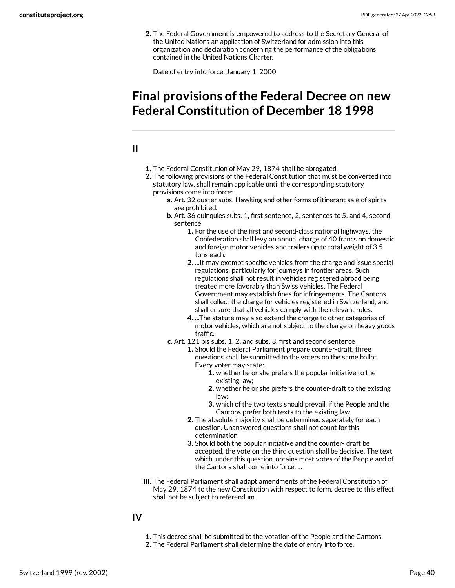**2.** The Federal Government is empowered to address to the Secretary General of the United Nations an application of Switzerland for admission into this organization and declaration concerning the performance of the obligations contained in the United Nations Charter.

Date of entry into force: January 1, 2000

## <span id="page-39-0"></span>**Final provisions ofthe Federal Decree on new Federal Constitution of December 18 1998**

## <span id="page-39-1"></span>**II**

- **1.** The Federal Constitution of May 29, 1874 shall be abrogated.
- **2.** The following provisions of the Federal Constitution that must be converted into statutory law, shall remain applicable until the corresponding statutory provisions come into force:
	- **a.** Art. 32 quater subs. Hawking and other forms of itinerant sale of spirits are prohibited.
	- **b.** Art. 36 quinquies subs. 1, first sentence, 2, sentences to 5, and 4, second sentence
		- **1.** For the use of the first and second-class national highways, the Confederation shall levy an annual charge of 40 francs on domestic and foreign motor vehicles and trailers up to total weight of 3.5 tons each.
		- **2.** ...It may exempt specific vehicles from the charge and issue special regulations, particularly for journeys in frontier areas. Such regulations shall not result in vehicles registered abroad being treated more favorably than Swiss vehicles. The Federal Government may establish fines for infringements. The Cantons shall collect the charge for vehicles registered in Switzerland, and shall ensure that all vehicles comply with the relevant rules.
		- **4.** ...The statute may also extend the charge to other categories of motor vehicles, which are not subject to the charge on heavy goods traffic.
	- **c.** Art. 121 bis subs. 1, 2, and subs. 3, first and second sentence
		- **1.** Should the Federal Parliament prepare counter-draft, three questions shall be submitted to the voters on the same ballot. Every voter may state:
			- **1.** whether he or she prefers the popular initiative to the existing law;
			- **2.** whether he or she prefers the counter-draft to the existing law;
			- **3.** which of the two texts should prevail, if the People and the Cantons prefer both texts to the existing law.
		- **2.** The absolute majority shall be determined separately for each question. Unanswered questions shall not count for this determination.
		- **3.** Should both the popular initiative and the counter- draft be accepted, the vote on the third question shall be decisive. The text which, under this question, obtains most votes of the People and of the Cantons shall come into force. ...
- **III.** The Federal Parliament shall adapt amendments of the Federal Constitution of May 29, 1874 to the new Constitution with respect to form. decree to this effect shall not be subject to referendum.

## <span id="page-39-2"></span>**IV**

- **1.** This decree shall be submitted to the votation of the People and the Cantons.
- **2.** The Federal Parliament shall determine the date of entry into force.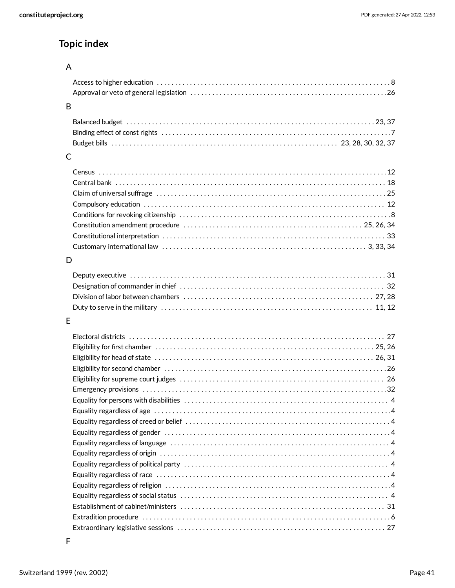## **Topic index**

## A

| <sub>B</sub> |  |
|--------------|--|
|              |  |
|              |  |
|              |  |
|              |  |
|              |  |
|              |  |
|              |  |
|              |  |
|              |  |
|              |  |
|              |  |

## D

[3](#page-2-6), [33,](#page-32-2) [34](#page-33-4) Customary international law . . . . . . . . . . . . . . . . . . . . . . . . . . . . . . . . . . . . . . . . . . . . . . . . . . . . . . . .

## E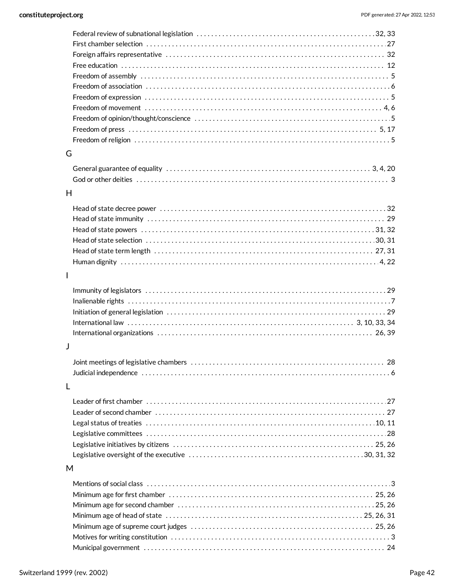| G |  |
|---|--|
|   |  |
|   |  |
|   |  |
| H |  |
|   |  |
|   |  |
|   |  |
|   |  |
|   |  |
|   |  |
|   |  |
| I |  |
|   |  |
|   |  |
|   |  |
|   |  |
|   |  |
|   |  |
| J |  |
|   |  |
|   |  |
| L |  |
|   |  |
|   |  |
|   |  |
|   |  |
|   |  |
|   |  |
|   |  |
| M |  |
|   |  |
|   |  |
|   |  |
|   |  |
|   |  |
|   |  |
|   |  |

[24](#page-23-0) Municipal government . . . . . . . . . . . . . . . . . . . . . . . . . . . . . . . . . . . . . . . . . . . . . . . . . . . . . . . . . . . . . . . . . .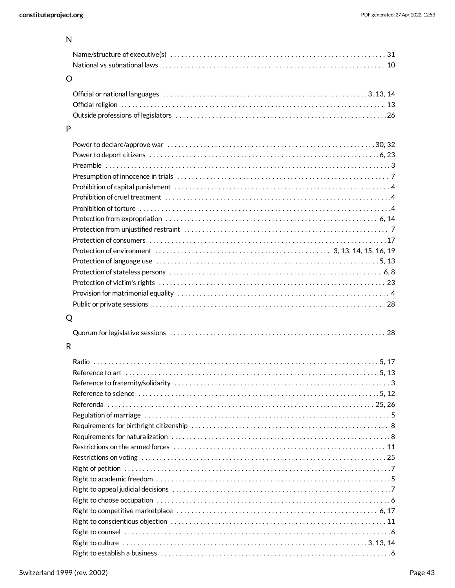## N

| $\Omega$ |  |
|----------|--|

## P

## Q

|--|--|--|

## R

| Reference to science with the continuum control of the control of the control of the control of the control of $12$ |  |
|---------------------------------------------------------------------------------------------------------------------|--|
|                                                                                                                     |  |
|                                                                                                                     |  |
|                                                                                                                     |  |
|                                                                                                                     |  |
|                                                                                                                     |  |
|                                                                                                                     |  |
|                                                                                                                     |  |
|                                                                                                                     |  |
|                                                                                                                     |  |
|                                                                                                                     |  |
|                                                                                                                     |  |
|                                                                                                                     |  |
|                                                                                                                     |  |
| Right to culture $\dots\dots\dots\dots\dots\dots\dots\dots\dots\dots\dots\dots\dots\dots\dots\dots\dots\dots$       |  |
|                                                                                                                     |  |